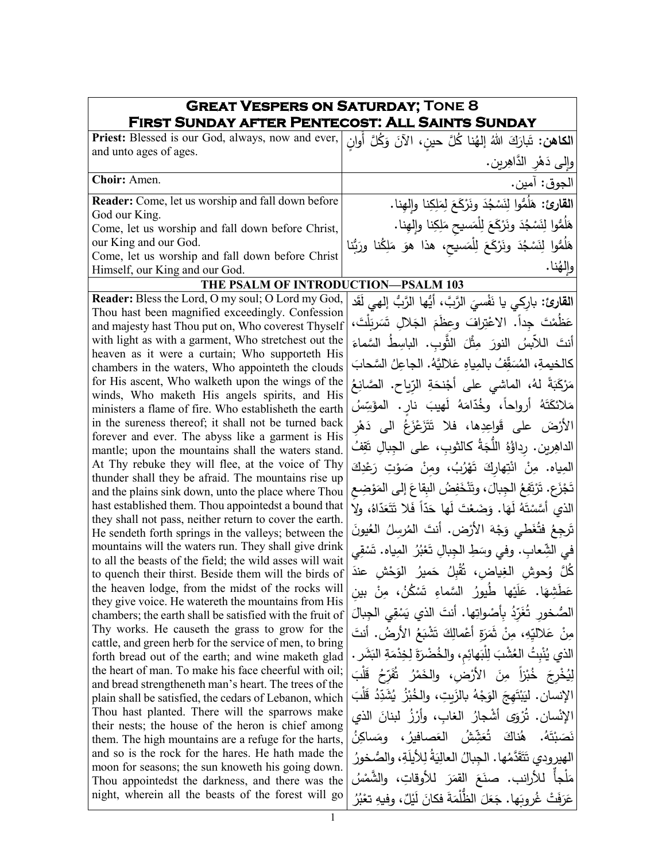| <b>GREAT VESPERS ON SATURDAY; TONE 8</b><br>FIRST SUNDAY AFTER PENTECOST: ALL SAINTS SUNDAY                       |                                                                         |  |  |
|-------------------------------------------------------------------------------------------------------------------|-------------------------------------------------------------------------|--|--|
| Priest: Blessed is our God, always, now and ever, [فَإِنْ اللَّهُ إِلْهُنَا كُلَّ حِينٍ، الآنَ وَكُلَّ أُوانٍ     |                                                                         |  |  |
| and unto ages of ages.                                                                                            | والى دَهْرِ الدَّاهِرِينِ.                                              |  |  |
| Choir: Amen.                                                                                                      | الجوق: آمين.                                                            |  |  |
| Reader: Come, let us worship and fall down before                                                                 | القارئ: هَلَمُّوا لِنَسْجُدَ ونَرْكَعَ لِمَلِكِنا وإلهِنا.              |  |  |
| God our King.<br>Come, let us worship and fall down before Christ,                                                | هَلُمُّوا لِنَسْجُدَ ونَرْكَعَ لِلْمَسيحِ مَلِكِنا وإلهِنا.             |  |  |
| our King and our God.                                                                                             |                                                                         |  |  |
| Come, let us worship and fall down before Christ                                                                  | هَلُمُّوا لِنَسْجُدَ ونَرْكَعَ لِلْمَسيحِ، هذا هوَ مَلِكُنا ورَبُّنا    |  |  |
| Himself, our King and our God.                                                                                    | وإلهُنا.                                                                |  |  |
| THE PSALM OF INTRODUCTION-PSALM 103                                                                               |                                                                         |  |  |
| Reader: Bless the Lord, O my soul; O Lord my God,                                                                 | ا <b>لقارئ:</b> باركي يا نَفْسيَ الرَّبَّ، أَيُّها الرَّبُّ إلهي لَقَد  |  |  |
| Thou hast been magnified exceedingly. Confession<br>and majesty hast Thou put on, Who coverest Thyself            | عَظُمْتَ جداً. الاعْتِرافَ وعظَمَ الجَلالِ تَسَرِبَلْتَ،                |  |  |
| with light as with a garment, Who stretchest out the                                                              | أنتَ اللاَّبِسُ النورَ مِثْلَ الثَّوبِ. الباسِطُ السَّماءَ              |  |  |
| heaven as it were a curtain; Who supporteth His<br>chambers in the waters, Who appointeth the clouds              | كالخيمةِ، المُسَقِّفُ بالمِياهِ عَلاليَّهُ. الجاعِلُ السَّحابَ          |  |  |
| for His ascent, Who walketh upon the wings of the<br>winds, Who maketh His angels spirits, and His                | مَرْكَبَةً لهُ، الماشي على أَجْنحَةِ الرّياحِ. الصَّانِعُ               |  |  |
| ministers a flame of fire. Who establisheth the earth                                                             | مَلائكَتَهُ أَرواحاً، وخُدّامَهُ لَهيبَ نارٍ. المؤَسِّسُ                |  |  |
| in the sureness thereof; it shall not be turned back                                                              | الأَرْضَ على قَواعِدِها، فلا تَتَزَعْزَعُ الى دَهْرِ                    |  |  |
| forever and ever. The abyss like a garment is His<br>mantle; upon the mountains shall the waters stand.           | الداهِرِينِ. رِداؤُهُ اللَّجَةُ كالثوبِ، على الجِبالِ تَقِفُ            |  |  |
| At Thy rebuke they will flee, at the voice of Thy                                                                 | المِياه. مِنْ انْتِهارِكَ تَهْرُبُ، ومِنْ صَوْتِ رَعْدِكَ               |  |  |
| thunder shall they be afraid. The mountains rise up<br>and the plains sink down, unto the place where Thou        | تَجْزَعِ. تَرْتَفِعُ الْجِبالَ، وتَتْخَفِضُ الْبِقاعَ إلى المَوْضِعِ    |  |  |
| hast established them. Thou appointedst a bound that                                                              | الذي أَسَّسْتَهُ لَهَا. وَضَعْتَ لَها حَدّاً فَلا تَتَعَدّاهُ، ولا      |  |  |
| they shall not pass, neither return to cover the earth.<br>He sendeth forth springs in the valleys; between the   | تَرجِعُ فتُغَطى وَجْهَ الأَرْضِ. أنتَ المُرسِلُ العُيونَ                |  |  |
| mountains will the waters run. They shall give drink                                                              | في الشِّعابِ. وفي وسَطِ الْجِبالِ تَعْبُرُ الْمِياهِ. تَسْقِي           |  |  |
| to all the beasts of the field; the wild asses will wait<br>to quench their thirst. Beside them will the birds of | كُلَّ وُحوش الغِياض، ثُقْبِلُ حَميرُ الوَحْشِ عندَ                      |  |  |
| the heaven lodge, from the midst of the rocks will                                                                | عَطَشِهَا. عَلَيْها طُيورُ السَّماءِ تَسْكُنُ، مِنْ بينِ                |  |  |
| they give voice. He watereth the mountains from His<br>chambers; the earth shall be satisfied with the fruit of   | الصُّخورِ تُغَرِّدُ بِأَصْواتِها. أنتَ الذي يَسْقِى الجبالَ             |  |  |
| Thy works. He causeth the grass to grow for the                                                                   | مِنْ عَلاليِّهِ، مِنْ ثَمَرَةِ أَعْمالِكَ تَشْبَعُ الأرضُ. أنتَ         |  |  |
| cattle, and green herb for the service of men, to bring<br>forth bread out of the earth; and wine maketh glad     | الذي يُنْبِتُ العُشْبَ لِلَّبَهائِمِ، والخُضْرَةَ لِخِدْمَةِ البَشَرِ . |  |  |
| the heart of man. To make his face cheerful with oil;                                                             | لِيُخْرِجَ خُبْرَاً مِنَ الأَرْضِ، والْخَمْرُ ثَفَرَّحُ قَلْبَ          |  |  |
| and bread strengtheneth man's heart. The trees of the<br>plain shall be satisfied, the cedars of Lebanon, which   | الإنسان. ليَبْتَهجَ الوَجْهُ بِالزَبِتِ، والخُبْزُ  يُشَدِّدُ  قَلْبَ   |  |  |
| Thou hast planted. There will the sparrows make                                                                   | الإنْسان. تُرْوَى أشْجارُ الغاب، وأَرْزُ لبنانَ الذي                    |  |  |
| their nests; the house of the heron is chief among<br>them. The high mountains are a refuge for the harts,        | هُناكَ تُعَشِّشُ العَصافيرُ، ومَساكِنُ<br>نَصَبْتَهُ.                   |  |  |
| and so is the rock for the hares. He hath made the                                                                | الهيرودي تَتَقَدَّمُها. الجِبالُ العالِيَةُ لِلأَيلَةِ، والصُّخورُ      |  |  |
| moon for seasons; the sun knoweth his going down.<br>Thou appointedst the darkness, and there was the             | مَلْجاً للأرانب. صنَعَ القمَرَ للأوقاتِ، والشَّمْسُ                     |  |  |
| night, wherein all the beasts of the forest will go                                                               | عَرَفَتْ غُروبَها. جَعَلَ الظُّلْمَةَ فكانَ لَيْلٌ، وفيهِ تعْبُرُ       |  |  |
|                                                                                                                   |                                                                         |  |  |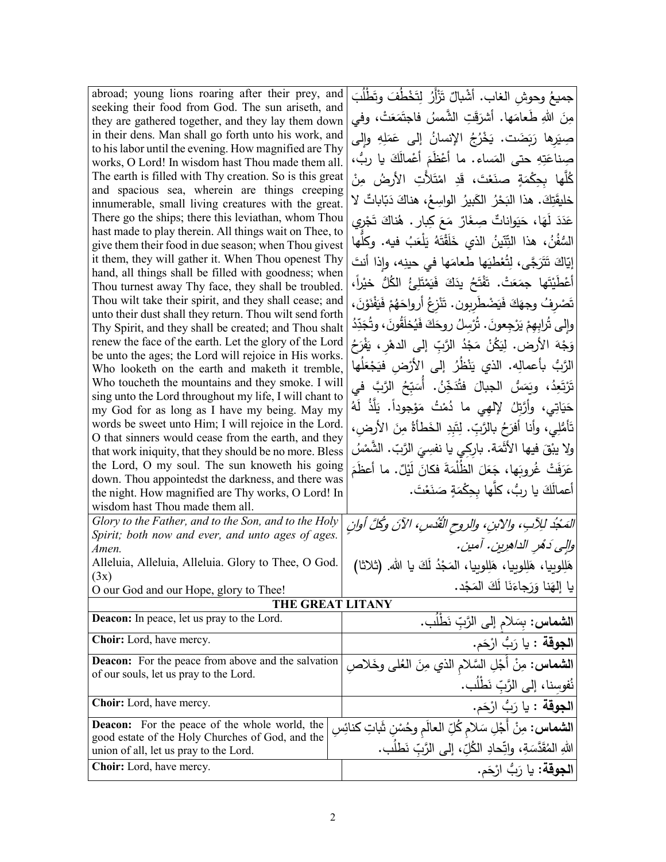| abroad; young lions roaring after their prey, and                                                               | جميعُ وحوش الغاب. أشْبالٌ تَزْأَرُ لِتَخْطُفَ وتَطْلُبَ                |
|-----------------------------------------------------------------------------------------------------------------|------------------------------------------------------------------------|
| seeking their food from God. The sun ariseth, and<br>they are gathered together, and they lay them down         | مِنَ اللهِ طَعامَها. أَشْرَقَتِ الشَّمسُ فاجتَمَعَتْ، وفي              |
| in their dens. Man shall go forth unto his work, and                                                            | صِيَرِها رَبَضَت. يَخْرُجُ الإِنسانُ إِلَى عَمَلِهِ وإِلَى             |
| to his labor until the evening. How magnified are Thy                                                           |                                                                        |
| works, O Lord! In wisdom hast Thou made them all.                                                               | صِناعَتِهِ حتى المَساء. ما أَعْظَمَ أَعْمالَكَ يا ربُّ،                |
| The earth is filled with Thy creation. So is this great                                                         | كُلُّها بحِكْمَةٍ صنَعْتَ، قَدِ امْتَلأْتِ الأَرضُ مِنْ                |
| and spacious sea, wherein are things creeping<br>innumerable, small living creatures with the great.            | خليقَتِكَ. هذا البَحْرُ الكَبيرُ الواسِعُ، هناكَ دَبّاباتٌ لا          |
| There go the ships; there this leviathan, whom Thou                                                             | عَدَدَ لَهَا، حَيَواناتٌ صِغَارٌ مَعَ كِبارٍ . هُناكَ تَجْرِي          |
| hast made to play therein. All things wait on Thee, to                                                          |                                                                        |
| give them their food in due season; when Thou givest                                                            | السُّفُنُ، هذا النِّتّينُ الذي خَلَقْتَهُ يَلْعَبُ فيه. وكلّها         |
| it them, they will gather it. When Thou openest Thy                                                             | إِيّاكَ تَتَرَجَّى، لِتُعْطِيَها طعامَها في حينِه، وإذا أنتَ           |
| hand, all things shall be filled with goodness; when<br>Thou turnest away Thy face, they shall be troubled.     | أَعْطَيْتَها جِمَعَتْ. تَفْتَحُ يدَكَ فَيَمْتَلِئُ الْكُلُّ خيْراً،    |
| Thou wilt take their spirit, and they shall cease; and                                                          | تَصْرِفُ وجهَكَ فَيَضْطَرِبونِ. تَنْزِعُ أَرواحَهُمْ فَيَفْنَوْنَ،     |
| unto their dust shall they return. Thou wilt send forth                                                         |                                                                        |
| Thy Spirit, and they shall be created; and Thou shalt                                                           | والى تُرابهمْ يَرْجعونَ . تُرْسِلُ روحَكَ فَيُخلَقُونَ، وتُجَدِّدُ     |
| renew the face of the earth. Let the glory of the Lord<br>be unto the ages; the Lord will rejoice in His works. | وَجْهَ الأرض. لِيَكُنْ مَجْدُ الرَّبِّ إِلَى الدهْرِ ، يَفْرَحُ        |
| Who looketh on the earth and maketh it tremble,                                                                 | الرَّبُّ بأعمالِه. الذي يَنْظُرُ إلى الأرْض فيَجْعَلُها                |
| Who toucheth the mountains and they smoke. I will                                                               | تَرْتَعِدُ، ويَمَسُّ الجبالَ فتُدَخِّنُ. أَسَبِّحُ الرَّبَّ في         |
| sing unto the Lord throughout my life, I will chant to                                                          | حَيَاتِي، وأَرَّتِلُ لإلهِي ما دُمْتُ مَوْجوداً. يَلَذُ لَهُ           |
| my God for as long as I have my being. May my<br>words be sweet unto Him; I will rejoice in the Lord.           |                                                                        |
| O that sinners would cease from the earth, and they                                                             | تَأْمُلِي، وأنا أفرَحُ بالرَّبِّ. لِتَبِدِ الخَطأةُ مِنَ الأرضِ،       |
| that work iniquity, that they should be no more. Bless                                                          | ولا يبْقَ فيها الأَثَمَة. بارِكِي يا نفسِيَ الرَّبِّ. الشَّمْسُ        |
| the Lord, O my soul. The sun knoweth his going                                                                  | عَرَفَتْ غُروبَها، جَعَلَ الظُّلْمَةَ فكانَ لَيْلٌ. ما أَعظَمَ         |
| down. Thou appointedst the darkness, and there was                                                              | أعمالَكَ يا رِبُ، كلَّها بحِكْمَةٍ صَنَعْتَ.                           |
| the night. How magnified are Thy works, O Lord! In<br>wisdom hast Thou made them all.                           |                                                                        |
| Glory to the Father, and to the Son, and to the Holy                                                            | المَجْدُ للِآبِ، والآبنِ، والروحِ القُدُسِ، الآنَ وكُلَّ أوانِ         |
| Spirit; both now and ever, and unto ages of ages.                                                               |                                                                        |
| Amen.                                                                                                           | والِي دَهُرِ الداهِرِينِ. أمينِ.                                       |
| Alleluia, Alleluia, Alleluia. Glory to Thee, O God.<br>(3x)                                                     | هَلِلوبيا، هَلِلوبيا، هَلِلوبيا، المَجْدُ لَكَ يا الله. (ثلاثا)        |
| O our God and our Hope, glory to Thee!                                                                          | يا إلهَنا وَرَجاءَنَا لَكَ المَجْد.                                    |
| THE GREAT LITANY                                                                                                |                                                                        |
| <b>Deacon:</b> In peace, let us pray to the Lord.                                                               | الشماس: بِسَلام إلى الرَّبِّ نَطْلَب.                                  |
| <b>Choir:</b> Lord, have mercy.                                                                                 | ا <b>لجوقة</b> : يا رَبُّ ارْحَم.                                      |
| <b>Deacon:</b> For the peace from above and the salvation                                                       | <b>الشَّماس:</b> مِنْ أَجْلِ السَّلام الذي مِنَ الْعُلَى وخَلاصِ       |
| of our souls, let us pray to the Lord.                                                                          | نُفوسِنا، إلى الرَّبِّ نَطْلُب.                                        |
| <b>Choir:</b> Lord, have mercy.                                                                                 | ا <b>لجوقة</b> : يا رَبُّ ارْحَم.                                      |
| <b>Deacon:</b> For the peace of the whole world, the                                                            |                                                                        |
| good estate of the Holy Churches of God, and the                                                                | ا <b>لشماس :</b> مِنْ أَجْلِ سَلام كُلِّ العالَم وحُسْنِ شَاتِ كنائِسِ |
| union of all, let us pray to the Lord.                                                                          | اللهِ المُقَدَّسَةِ، واتِّحادِ الكُلِّ، إلى الرَّبِّ نَطلَب.           |
| Choir: Lord, have mercy.                                                                                        | ا <b>لجوقة:</b> يا رَبُّ ارْحَم.                                       |
|                                                                                                                 |                                                                        |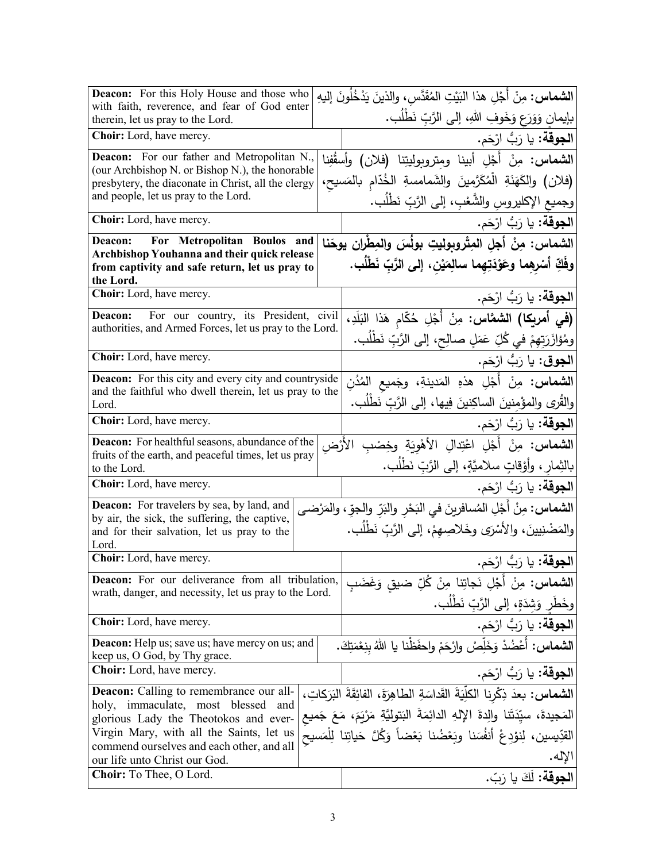| <b>Deacon:</b> For this Holy House and those who<br>with faith, reverence, and fear of God enter                      |  | ا <b>لشماس:</b> مِنْ أَجْلِ هذا النَيْتِ المُقَدَّسِ، والذينَ يَدْخُلُونَ إليهِ                                |
|-----------------------------------------------------------------------------------------------------------------------|--|----------------------------------------------------------------------------------------------------------------|
| therein, let us pray to the Lord.                                                                                     |  | بإيمان وَوَرَعٍ وَخَوفِ اللهِ، إلى الرَّبِّ نَطْلُبٍ.                                                          |
| Choir: Lord, have mercy.                                                                                              |  | <b>الجوقة:</b> يا رَبُّ ارْحَم.                                                                                |
| <b>Deacon:</b> For our father and Metropolitan N.,<br>(our Archbishop N. or Bishop N.), the honorable                 |  | <b>الشماس:</b> مِنْ أَجْلِ أَبينا ومتروبوليتِنا (فلان) وأسقُفِنا                                               |
| presbytery, the diaconate in Christ, all the clergy                                                                   |  | (فلان) والكَهَنَةِ الْمُكَرَّمينَ والشَمامسةِ الخُدّام بالمَسيح،                                               |
| and people, let us pray to the Lord.                                                                                  |  | وجميع الإكليروس والشُّعْبِ، إلى الرَّبِّ نَطْلُبٍ.                                                             |
| Choir: Lord, have mercy.                                                                                              |  | ا <b>لجوقة:</b> يا رَبُّ ارْحَم.                                                                               |
| For Metropolitan Boulos and<br>Deacon:<br>Archbishop Youhanna and their quick release                                 |  | الشماس: مِنْ أجلِ المِتْروبوليتِ بولُسَ والمِطْرانِ يوحَنا                                                     |
| from captivity and safe return, let us pray to                                                                        |  | وفَكِّ أَسْرِهِما وعَوْدَتِهِما سالِمَيْنِ، إلى الرَّبِّ نَطْلُبٍ.                                             |
| the Lord.<br>Choir: Lord, have mercy.                                                                                 |  |                                                                                                                |
|                                                                                                                       |  | ا <b>لجوقة:</b> يا رَبُّ ارْحَم.                                                                               |
| For our country, its President, civil<br>Deacon:<br>authorities, and Armed Forces, let us pray to the Lord.           |  | <b>(في أمريكا) الشمَّاس:</b> مِنْ أَجْلِ حُكّام هَذا البَلَدِ،                                                 |
|                                                                                                                       |  | ومُؤازَرَتِهِمْ في كُلِّ عَمَلٍ صالِحٍ، إلى الرَّبِّ نَطْلُب.                                                  |
| Choir: Lord, have mercy.                                                                                              |  | <b>الجوق</b> : يا رَبُّ ارْحَم.                                                                                |
| <b>Deacon:</b> For this city and every city and countryside<br>and the faithful who dwell therein, let us pray to the |  | ا <b>لشماس:</b> مِنْ أَجْلِ هذهِ المَدينةِ، وجَميع المُدُنِ                                                    |
| Lord.                                                                                                                 |  | والقُرى والمؤْمنينَ الساكِنينَ فِيها، إلى الرَّبِّ نَطْلُب.                                                    |
| Choir: Lord, have mercy.                                                                                              |  | <b>الجوقة:</b> يا رَبُّ ارْحَم.                                                                                |
| <b>Deacon:</b> For healthful seasons, abundance of the                                                                |  | <b>الشماس:</b> مِنْ أَجْلِ اعْتِدالِ الأَهْوِيَةِ وخِصْبِ الأَرْض                                              |
| fruits of the earth, and peaceful times, let us pray<br>to the Lord.                                                  |  | بالثِمارِ ، وأَوْقاتٍ سلاميَّةٍ، إلى الرَّبِّ نَطْلُبٍ.                                                        |
| <b>Choir:</b> Lord, have mercy.                                                                                       |  | ا <b>لجوقة</b> : يا رَبُّ ارْحَم.                                                                              |
| <b>Deacon:</b> For travelers by sea, by land, and                                                                     |  | ا <b>لشماس</b> : مِنْ أَجْلِ المُسافرينَ في البَحْرِ والبَرِّ والجوِّ ، والمَرْضـى                             |
| by air, the sick, the suffering, the captive,<br>and for their salvation, let us pray to the                          |  | والمَضْنِيينَ، والأَسْرَى وخَلاصِهِمْ، إلى الرَّبّ نَطْلُب.                                                    |
| Lord.<br>Choir: Lord, have mercy.                                                                                     |  | ا <b>لجوقة:</b> يا رَبُّ ارْحَم.                                                                               |
| <b>Deacon:</b> For our deliverance from all tribulation,                                                              |  |                                                                                                                |
| wrath, danger, and necessity, let us pray to the Lord.                                                                |  | ا <b>لشماس:</b> مِنْ أَجْلِ نَجاتِنا مِنْ كُلِّ ضيق وَغَضَبِ<br>وخَطْرٍ وَشِدَةٍ، إلى الرَّبِّ نَطْلُب.        |
| Choir: Lord, have mercy.                                                                                              |  |                                                                                                                |
| <b>Deacon:</b> Help us; save us; have mercy on us; and                                                                |  | <b>الجوقة:</b> يا رَبُّ ارْحَم.<br><b>الشماس:</b> أَعْضُدْ وَخَلِّصْ وارْحَمْ واحفَظْنا يا اللهُ بِنِعْمَتِكَ. |
| keep us, O God, by Thy grace.<br><b>Choir:</b> Lord, have mercy.                                                      |  |                                                                                                                |
| <b>Deacon:</b> Calling to remembrance our all-                                                                        |  | ا <b>لجوقة:</b> يا رَبُّ ارْحَم.                                                                               |
| immaculate, most blessed<br>holy,<br>and                                                                              |  | ال <b>شماس:</b> بعدَ ذِكْرِنا الكلِّيَةَ القَداسَةِ الطاهِرَةَ، الفائِقَةَ البَرَكاتِ،                         |
| glorious Lady the Theotokos and ever-                                                                                 |  | المَجيدةَ، سيِّدَتَنا والِدةَ اﻹلهِ الدائِمَةَ البَتوليَّةِ مَرْيَمَ، مَعَ جَميع                               |
| Virgin Mary, with all the Saints, let us<br>commend ourselves and each other, and all                                 |  | القدِّيسين، لِنوْدِعْ أَنفُسَنا وبَعْضُنا بَعْضاً وَكُلَّ حَياتِنا لِلْمَسيح                                   |
| our life unto Christ our God.                                                                                         |  | الإله.                                                                                                         |
| <b>Choir:</b> To Thee, O Lord.                                                                                        |  | ا <b>لجوقة:</b> لَكَ يا رَبّ.                                                                                  |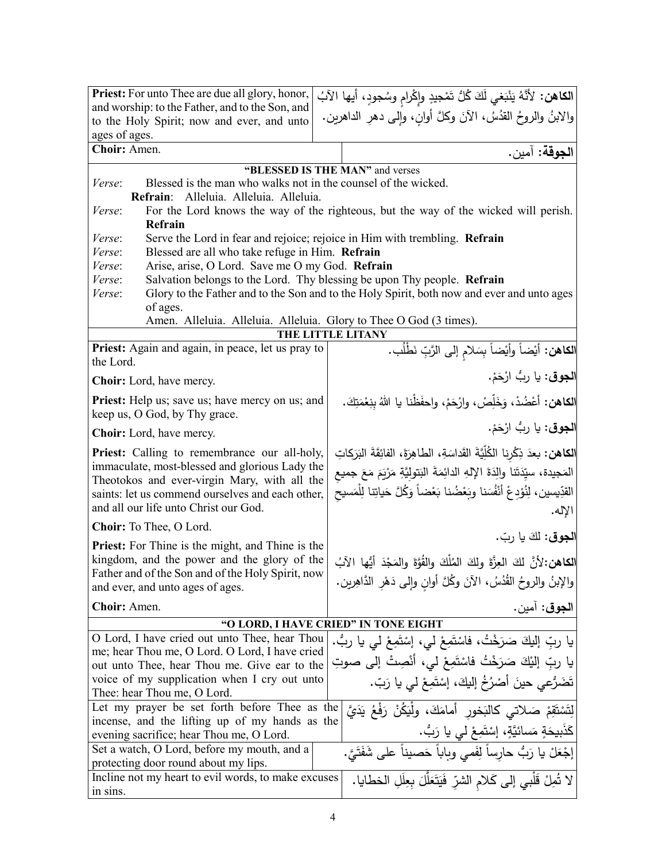| <b>Priest:</b> For unto Thee are due all glory, honor,                                                                                            | ا <b>لكاهن:</b> لأنَّهُ يَنْبَغي لَكَ كُلُّ تَمْجِيدِ وإِكْرامِ وسُجودٍ، أيها الآبُ        |  |  |
|---------------------------------------------------------------------------------------------------------------------------------------------------|--------------------------------------------------------------------------------------------|--|--|
| and worship: to the Father, and to the Son, and                                                                                                   | والابنُ والروحُ القدُسُ، الآنَ وكلَّ أوانِ، وإلى دهرِ الداهرين.                            |  |  |
| to the Holy Spirit; now and ever, and unto                                                                                                        |                                                                                            |  |  |
| ages of ages.                                                                                                                                     |                                                                                            |  |  |
| Choir: Amen.                                                                                                                                      | الجوقة: آمين.                                                                              |  |  |
|                                                                                                                                                   | "BLESSED IS THE MAN" and verses                                                            |  |  |
| Blessed is the man who walks not in the counsel of the wicked.<br>Verse:                                                                          |                                                                                            |  |  |
| Refrain: Alleluia. Alleluia. Alleluia.                                                                                                            |                                                                                            |  |  |
| Verse:                                                                                                                                            | For the Lord knows the way of the righteous, but the way of the wicked will perish.        |  |  |
| Refrain                                                                                                                                           |                                                                                            |  |  |
| Serve the Lord in fear and rejoice; rejoice in Him with trembling. Refrain<br>Verse:<br>Blessed are all who take refuge in Him. Refrain<br>Verse: |                                                                                            |  |  |
| Arise, arise, O Lord. Save me O my God. Refrain<br>Verse:                                                                                         |                                                                                            |  |  |
| Verse:                                                                                                                                            | Salvation belongs to the Lord. Thy blessing be upon Thy people. Refrain                    |  |  |
| Verse:                                                                                                                                            | Glory to the Father and to the Son and to the Holy Spirit, both now and ever and unto ages |  |  |
| of ages.                                                                                                                                          |                                                                                            |  |  |
| Amen. Alleluia. Alleluia. Alleluia. Glory to Thee O God (3 times).                                                                                |                                                                                            |  |  |
|                                                                                                                                                   | THE LITTLE LITANY                                                                          |  |  |
| Priest: Again and again, in peace, let us pray to<br>the Lord.                                                                                    | الكاهن: أيْضاً وأيْضاً بِسَلامِ إلى الرَّبِّ نَطْلُب.                                      |  |  |
| <b>Choir:</b> Lord, have mercy.                                                                                                                   | الجوق: يا ربُ ارْحَمْ.                                                                     |  |  |
| <b>Priest:</b> Help us; save us; have mercy on us; and<br>keep us, O God, by Thy grace.                                                           | <b>الكاهن:</b> أعْضُدْ، وَخَلِّصْ، وارْحَمْ، واحفَظْنا يا اللهُ بنِعْمَتِكَ.               |  |  |
| <b>Choir:</b> Lord, have mercy.                                                                                                                   | ا <b>لجوق</b> : يا رِبُّ ارْحَمْ.                                                          |  |  |
| Priest: Calling to remembrance our all-holy,                                                                                                      | الكاهن: بعدَ ذِكْرِنا الكُلِّيَّةَ القَداسَةِ، الطاهِرَةَ، الفائِقَةَ البَرَكاتِ           |  |  |
| immaculate, most-blessed and glorious Lady the                                                                                                    | المَجيدة، سيِّدَتَنا والِدَةَ الإِلهِ الدائِمَةَ البَتولِيَّةِ مَرْيَمَ مَعَ جميع          |  |  |
| Theotokos and ever-virgin Mary, with all the                                                                                                      |                                                                                            |  |  |
| saints: let us commend ourselves and each other,                                                                                                  | القدِّيسين، لِنُوْدِعْ أَنْفُسَنا وبَعْضُنا بَعْضاً وَكُلَّ حَياتِنا لِلْمَسيح             |  |  |
| and all our life unto Christ our God.                                                                                                             | الإله.                                                                                     |  |  |
| Choir: To Thee, O Lord.                                                                                                                           |                                                                                            |  |  |
| <b>Priest:</b> For Thine is the might, and Thine is the                                                                                           | ا <b>لجوق</b> : لكَ يا ربّ.                                                                |  |  |
| kingdom, and the power and the glory of the                                                                                                       | الكاهن: لأنَّ لكَ العِزَّةَ ولِكَ المُلْكَ والقُوَّةَ والمَجْدَ أَيُّها الآبُ              |  |  |
| Father and of the Son and of the Holy Spirit, now                                                                                                 |                                                                                            |  |  |
| and ever, and unto ages of ages.                                                                                                                  | والإبنُ والروحُ القُدُسُ، الآنَ وكُلَّ أوانِ وإلى دَهْرِ الدَّاهِرين.                      |  |  |
| Choir: Amen.                                                                                                                                      | ا <b>لجوق</b> : آمين.                                                                      |  |  |
| "O LORD, I HAVE CRIED" IN TONE EIGHT                                                                                                              |                                                                                            |  |  |
| O Lord, I have cried out unto Thee, hear Thou                                                                                                     | يا ربِّ إليكَ صَرَخْتُ، فاسْتَمِعْ لي، إِسْتَمِعْ لي يا ربُّ.                              |  |  |
| me; hear Thou me, O Lord. O Lord, I have cried                                                                                                    | يا ربِّ إليْكَ صَرَخْتُ فَاسْتَمِعْ لَى، أَنْصِتْ إِلَى صوتِ                               |  |  |
| out unto Thee, hear Thou me. Give ear to the<br>voice of my supplication when I cry out unto                                                      |                                                                                            |  |  |
| Thee: hear Thou me, O Lord.                                                                                                                       | تَضَرُّعي حينَ أَصْرُخُ إِلَيكَ، إِسْتَمِعْ لَى يا رَبِّ.                                  |  |  |
| Let my prayer be set forth before Thee as the                                                                                                     | لِتَسْتَقِمْ صَلاتي كالبَخورِ أمامَكَ، ولْيَكُنْ رَفْعُ يَدَيَّ                            |  |  |
| incense, and the lifting up of my hands as the                                                                                                    |                                                                                            |  |  |
| evening sacrifice; hear Thou me, O Lord.                                                                                                          | كَذَبِيحَةٍ مَسائيَّةٍ، إِسْتَمِعْ لي يا رَبُّ.                                            |  |  |
| Set a watch, O Lord, before my mouth, and a                                                                                                       | إجْعَلْ يا رَبُّ حارساً لِفَمي وياباً حَصيناً على شَفَتَيَّ.                               |  |  |
| protecting door round about my lips.                                                                                                              |                                                                                            |  |  |
| Incline not my heart to evil words, to make excuses                                                                                               | لا تُمِلْ قَلْبي إلى كَلام الشرّ فَيَتَعَلَّلَ بِعِلَلِ الخطايا.                           |  |  |
| in sins.                                                                                                                                          |                                                                                            |  |  |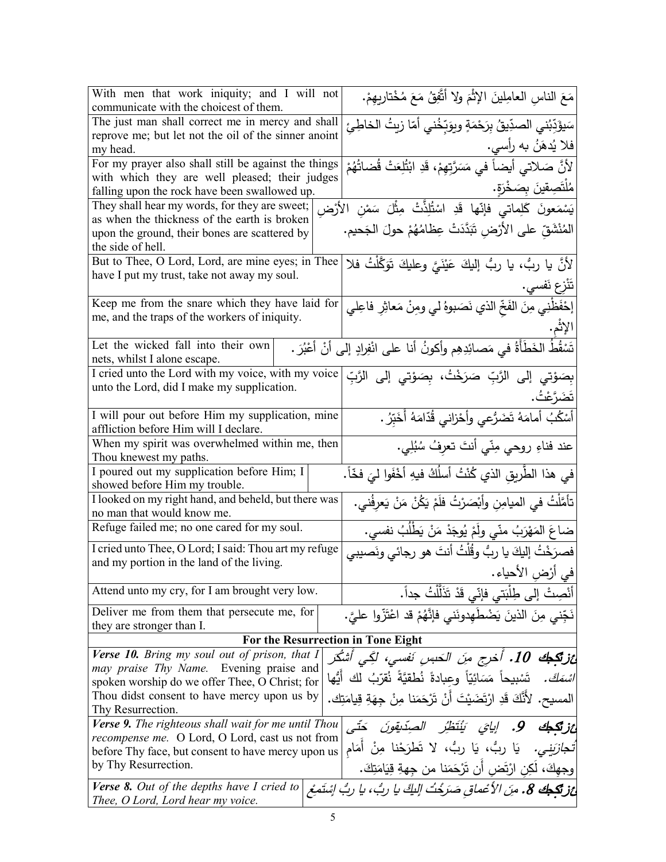| With men that work iniquity; and I will not<br>communicate with the choicest of them.                        | مَعَ الناسِ العامِلِينَ الإِثْمَ ولا أتَّفِقُ مَعَ مُخْتارِيهِمْ.                                                                      |  |
|--------------------------------------------------------------------------------------------------------------|----------------------------------------------------------------------------------------------------------------------------------------|--|
| The just man shall correct me in mercy and shall                                                             |                                                                                                                                        |  |
| reprove me; but let not the oil of the sinner anoint                                                         | سَيؤَدِّبُني الصدِّيقُ بِرَحْمَةٍ ويوَبِّخُني أمّا زيتُ الخاطِئِ                                                                       |  |
| my head.                                                                                                     | فلا يُدهَنُ به رأسي.                                                                                                                   |  |
| For my prayer also shall still be against the things                                                         | لأنَّ صَلاتي أيضاً في مَسَرَّتِهِمْ، قَدِ ابْتُلِعَتْ قُضاتُهُمْ                                                                       |  |
| with which they are well pleased; their judges                                                               |                                                                                                                                        |  |
| falling upon the rock have been swallowed up.                                                                | مُلْتَصِقينَ بِصَخْرَةٍ.                                                                                                               |  |
| They shall hear my words, for they are sweet;                                                                | يَسْمَعونَ كَلِماتيٍّ فإنّها قَدِ اسْتُلِذَّتْ مِثْلَ سَمْنِ الأَرْضِ<br>المُنْشَقِّ على الأَرْضِ تَبَدَّدَتْ عِظامُهُمْ حولَ الجَحيم. |  |
| as when the thickness of the earth is broken                                                                 |                                                                                                                                        |  |
| upon the ground, their bones are scattered by                                                                |                                                                                                                                        |  |
| the side of hell.                                                                                            |                                                                                                                                        |  |
| But to Thee, O Lord, Lord, are mine eyes; in Thee                                                            | لأنَّ يا ربُّ، يا ربُّ إليكَ عَيْنَيَّ وعليكَ تَوَكَّلْتُ فلا                                                                          |  |
| have I put my trust, take not away my soul.                                                                  | تَنْزِع نَفسي.                                                                                                                         |  |
| Keep me from the snare which they have laid for                                                              | إِحْفَظْنِي مِنَ الفَخِّ الذي نَصَبوهُ لي ومِنْ مَعاثِرِ فاعِلي                                                                        |  |
| me, and the traps of the workers of iniquity.                                                                |                                                                                                                                        |  |
|                                                                                                              |                                                                                                                                        |  |
| Let the wicked fall into their own                                                                           |                                                                                                                                        |  |
| nets, whilst I alone escape.                                                                                 |                                                                                                                                        |  |
| I cried unto the Lord with my voice, with my voice                                                           | بِصَوْتي إلى الرَّبِّ صَرَخْتُ، بِصَوْتي إلى الرَّبِّ                                                                                  |  |
| unto the Lord, did I make my supplication.                                                                   | تَضَرَّعْتُ.                                                                                                                           |  |
|                                                                                                              |                                                                                                                                        |  |
| I will pour out before Him my supplication, mine                                                             | أَسْكُبُ أَمامَهُ تَضَرُّعي وأَحْزاني قُدّامَهُ أَخَبِّرُ .                                                                            |  |
| affliction before Him will I declare.                                                                        |                                                                                                                                        |  |
| When my spirit was overwhelmed within me, then<br>Thou knewest my paths.                                     | عند فناءِ روحي مِنّي أنتَ تعرِفُ سُبُلِي.                                                                                              |  |
| I poured out my supplication before Him; I                                                                   |                                                                                                                                        |  |
| showed before Him my trouble.                                                                                | في هذا الطَّريقِ الذي كُنْتُ أسلُكُ فيهِ أَخْفَوا ليَ فخّاً.                                                                           |  |
| I looked on my right hand, and beheld, but there was                                                         | تأمَّلْتُ في الميامِنِ وأبْصَرْتُ فلَمْ يَكُنْ مَنْ يَعْرِفُني.                                                                        |  |
| no man that would know me.                                                                                   |                                                                                                                                        |  |
| Refuge failed me; no one cared for my soul.                                                                  | ضاعَ المَهْرَبُ منّي ولَمْ يُوجَدْ مَنْ يَطْلُبُ نَفْسي.                                                                               |  |
| I cried unto Thee, O Lord; I said: Thou art my refuge                                                        | فصرَخْتُ إليكَ يا ربُّ وقُلْتُ أنتَ هو رجائي ونَصيبي                                                                                   |  |
| and my portion in the land of the living.                                                                    | في أرْض الأحياء.                                                                                                                       |  |
| Attend unto my cry, for I am brought very low.                                                               |                                                                                                                                        |  |
|                                                                                                              | أَنْصِتْ إلى طِلْبَتى فإنّي قَدْ تَذَلَّلْتُ جداً.                                                                                     |  |
| Deliver me from them that persecute me, for<br>they are stronger than I.                                     | نَجِّني مِنَ الذينَ يَضْطَهِدونَنى فإنَّهُمْ قد اعْتَزّوا عليَّ.                                                                       |  |
| For the Resurrection in Tone Eight                                                                           |                                                                                                                                        |  |
| Verse 10. Bring my soul out of prison, that I                                                                | ائز <b>تَكِـبُك 10.</b> أخرج منَ الحَبسِ نَفسى، لكِّى أشْكَر                                                                           |  |
| may praise Thy Name. Evening praise and                                                                      |                                                                                                                                        |  |
| spoken worship do we offer Thee, O Christ; for                                                               | <i>اسْمَكَ.</i> تَسْبِيحاً  مَسَائِيّاً  وعِبادةً  نُطقيّةً  نُقرّبُ  لك  أَيُّها                                                      |  |
| Thou didst consent to have mercy upon us by                                                                  | المسيح. لأَنَّكَ قَدِ ارْتَضَيْتَ أَنْ تَرْحَمَنا مِنْ جِهَةِ قِيامَتِكَ.                                                              |  |
| Thy Resurrection.                                                                                            |                                                                                                                                        |  |
| Verse 9. The righteous shall wait for me until Thou                                                          | اعز تكمك 9. إيا <i>يَ</i> يَنْتَظِّرُ الصِدِّيقونَ حَتَّى                                                                              |  |
| <i>recompense me.</i> O Lord, O Lord, cast us not from<br>before Thy face, but consent to have mercy upon us | تّ <i>ـجازَينِي.</i> يَا ربُّ، يَا ربُّ، لا تَطرَحْنا مِنْ أمَام                                                                       |  |
| by Thy Resurrection.                                                                                         | وجهكَ، لَكِن ارْتَض أَن تَرْحَمَنا من جهةِ قِيَامَتِكَ.                                                                                |  |
| <b>Verse 8.</b> Out of the depths have I cried to                                                            |                                                                                                                                        |  |
| Thee, O Lord, Lord hear my voice.                                                                            | <b>اعز تَكِيك 8.</b> مِنَ الأعْماق صَرَخْتُ اللَّكَ يا ربُّ، يا ربُّ إِسْتَمِعْ                                                        |  |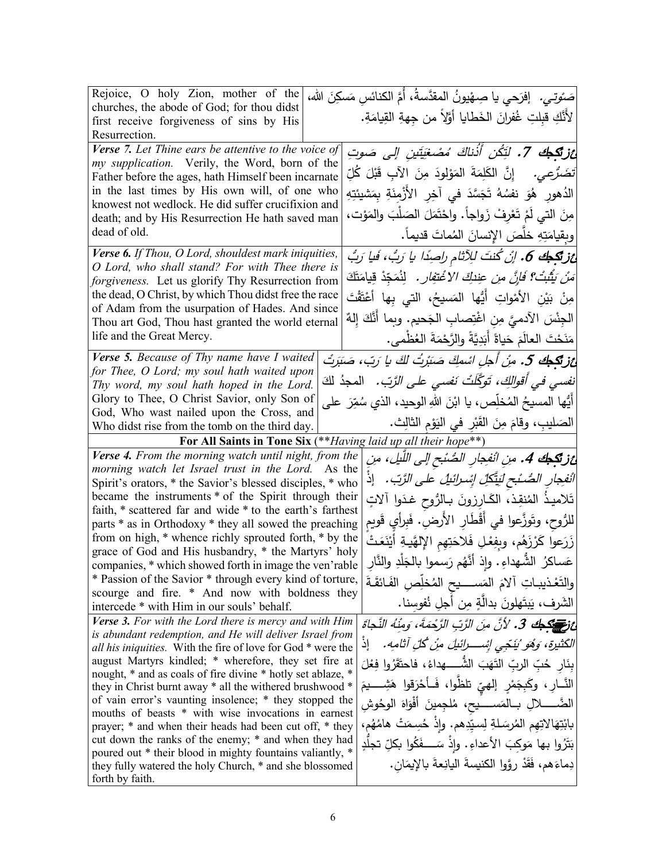| Rejoice, O holy Zion, mother of the                                                                                      | صَـُوتِـي.   إفرَحي يا صِـهْيونُ المقدَّسةُ، أَمَّ الكنائسِ مَسكِنَ الله،               |
|--------------------------------------------------------------------------------------------------------------------------|-----------------------------------------------------------------------------------------|
| churches, the abode of God; for thou didst                                                                               | لأَنَّكِ قبِلتِ غُفرانَ الخَطايا أَوَّلاً من جِهةِ القِيامَةِ.                          |
| first receive forgiveness of sins by His                                                                                 |                                                                                         |
| Resurrection.                                                                                                            |                                                                                         |
| Verse 7. Let Thine ears be attentive to the voice of<br>my supplication. Verily, the Word, born of the                   | <b>ئزنگجك 7.</b> لَتِّكُن أَذْناكَ مُصْغِيَّتينِ إلى صَوتِ                              |
| Father before the ages, hath Himself been incarnate                                                                      | تَ <i>ضَرُّعِي.</i> إِنَّ  الكَلِمَةَ  المَوْلِودَ  مِنَ  الآبِ  قَبْلَ  كُلِّ          |
| in the last times by His own will, of one who                                                                            | الدُهورِ ۚ هُوَ نفسُهُ تَجَسَّدَ في آخِرِ الأَزْمِنَةِ بِمَشيئتِهِ                      |
| knowest not wedlock. He did suffer crucifixion and<br>death; and by His Resurrection He hath saved man                   | مِنَ التي لَمْ تَعْرِفْ زَواجاً. واحْتَمَلَ الصَلْبَ والمَوْت،                          |
| dead of old.                                                                                                             | وبِقيامَتِهِ خلَّصَ الإِنسانَ المُماتَ قديماً.                                          |
| Verse 6. If Thou, O Lord, shouldest mark iniquities,                                                                     | غز تكبك 6. إنْ كُنتَ للِآثام راصِدًا يا رَبُ، فَيا رَبُ                                 |
| O Lord, who shall stand? For with Thee there is                                                                          |                                                                                         |
| forgiveness. Let us glorify Thy Resurrection from                                                                        | <i>مَنْ يَثْبُتْ؟ فَإِنَّ مِن عِندكِّ الا</i> ُعْ <i>تفِار .</i> لِنُمَجِّدْ قِيامَتَكَ |
| the dead, O Christ, by which Thou didst free the race<br>of Adam from the usurpation of Hades. And since                 | مِنْ بَيْنِ الأَمْواتِ أَيُّها المَسيحُ، التي بِها أَعْتَقْتَ                           |
| Thou art God, Thou hast granted the world eternal                                                                        | الْجِنْسَ الآدميَّ مِنِ اغْتِصابِ الْجَحيمِ. وبِما أَنَّكَ إِلْهٌ                       |
| life and the Great Mercy.                                                                                                | مَنَحْتَ العالَمَ حَياةً أَبَدِيَّةً والرَّحْمَةَ العُظْمى.                             |
| Verse 5. Because of Thy name have I waited                                                                               | ئز تكطف 5. مِنْ أجلِ اسْمِكَ صَبْرتُ لكَ يا رَبّ، صَبَرتُ                               |
| for Thee, O Lord; my soul hath waited upon                                                                               |                                                                                         |
| Thy word, my soul hath hoped in the Lord.                                                                                | نفسي في أقوالكِ، تَوَكَّلْتُ نَفسي علي الرَّبِّ.   المجدُ لكَ                           |
| Glory to Thee, O Christ Savior, only Son of                                                                              | أَيُّها المسيحُ المُخلِّص، يا ابْنَ اللهِ الوحيد، الذي سُمِّرَ  على                     |
| God, Who wast nailed upon the Cross, and                                                                                 | الصَليبِ، وقامَ مِنَ القَبْرِ في النَوْمِ الثَالِثِ.                                    |
| Who didst rise from the tomb on the third day.                                                                           |                                                                                         |
| For All Saints in Tone Six (**Having laid up all their hope**)                                                           |                                                                                         |
| Verse 4. From the morning watch until night, from the                                                                    |                                                                                         |
|                                                                                                                          | غ <b>زنيجك 4.</b> مِنِ الْنَفِجارِ الصُّنْبِحِ إلى اللَّيلِ، مِنِ                       |
| morning watch let Israel trust in the Lord. As the                                                                       |                                                                                         |
| Spirit's orators, * the Savior's blessed disciples, * who<br>became the instruments * of the Spirit through their        | انْفِجارِ الصُّنْبِحِ لَيَتَّكَلِّ ابِسْرائِيلُ على الرَّبِّ. ﴿ إِذْ                    |
| faith, * scattered far and wide * to the earth's farthest                                                                | تَلاميذُ المُنقِذ، الكَارِزونَ بـالرُّوحِ غدَوا آلاتٍ                                   |
| parts * as in Orthodoxy * they all sowed the preaching                                                                   | لْلرُوحِ، وتَوزَّعوا في أَقْطَارِ الأرضِ. فَبِرأَي قَويم                                |
| from on high, * whence richly sprouted forth, * by the                                                                   | زَرَعوا كَرْزَهُم، وبِفِعْلِ فَلاحَتِهِم الإِلهَّيةِ أَيْنَعَتْ                         |
| grace of God and His husbandry, * the Martyrs' holy<br>companies, * which showed forth in image the ven'rable            | عَساكرُ الشُّهداءِ . وإِذ أنَّهُم رَسموا بالجَلْدِ والنَّارِ                            |
| * Passion of the Savior * through every kind of torture,                                                                 | والتَعْذيبـاتِ آلامَ المَســـــيح المُخلِّص الفَـائقَـةَ                                |
| scourge and fire. * And now with boldness they                                                                           |                                                                                         |
| intercede * with Him in our souls' behalf.                                                                               | الشَرف، يَبتَهلونَ بدالَّةٍ مِن أجلِ نُفوسنا.                                           |
| <b>Verse 3.</b> For with the Lord there is mercy and with Him<br>is abundant redemption, and He will deliver Israel from | عْ زَمِيهِ وَجَمِعْكَ 3. لأنَّ مِنَ الرَّبِّ الرَّحْمَةَ، وَمِنْهُ النَّجَاةَ           |
| all his iniquities. With the fire of love for God * were the                                                             | الكَثيرة، وَهُو يُنَجِّي إِسْكِرائيلَ مِنْ كُلِّ آثامِهِ.<br>إذ                         |
| august Martyrs kindled; * wherefore, they set fire at                                                                    | بِنَارٍ حُبِّ الربِّ النَّهَبَ الشُّـــــهِداءُ، فاحتَّقَرُوا فِعْلَ                    |
| nought, * and as coals of fire divine * hotly set ablaze, *                                                              |                                                                                         |
| they in Christ burnt away * all the withered brushwood *<br>of vain error's vaunting insolence; * they stopped the       | النَّـارِ ، وكَبِجَمْرٍ إلهيِّ تلظُّوا، فَـأَحْرَقوا هَشِــــيمَ                        |
| mouths of beasts * with wise invocations in earnest                                                                      | الضَّــــــــلالِ بـــالمَســــــيح، مُلجِمينَ أَفْوَاهَ الوحُوشِ                       |
| prayer; * and when their heads had been cut off, * they                                                                  | بابْتِهَالاتِهِم المُرسَـلةِ لِسيّدِهم. وإذْ حُسِـمَتْ هامُهُم،                         |
| cut down the ranks of the enemy; * and when they had                                                                     | بَتَرُوا بِها مَوكِبَ الأعداءِ. وإذْ سَـــفَكُوا بِكلِّ تجلَّدٍ                         |
| poured out * their blood in mighty fountains valiantly, *<br>they fully watered the holy Church, * and she blossomed     | دِماءَهم، فَقَدْ رِوَّوا الكنيسةَ اليانِعةَ بالإِيمَانِ.                                |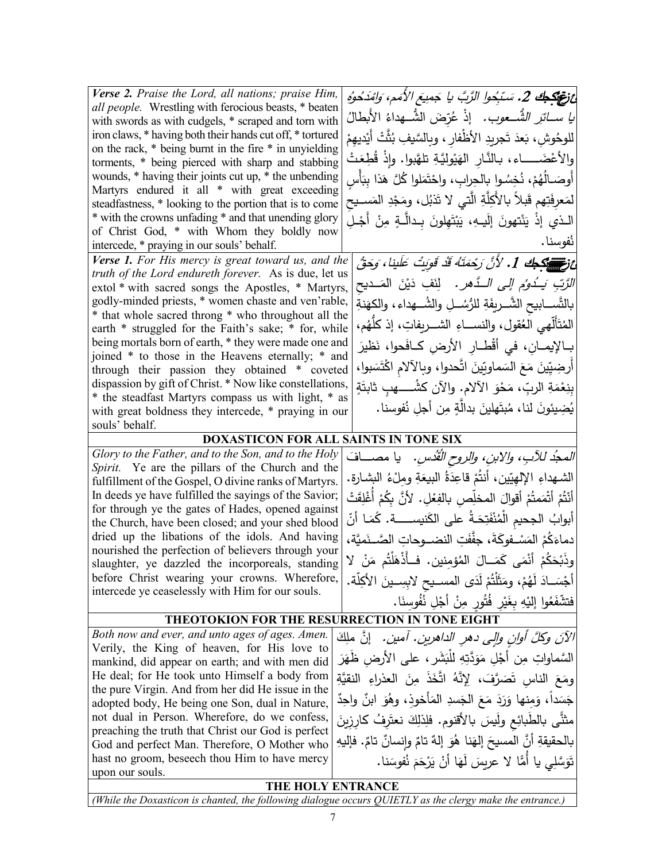غزغ جلا 2. سَبِّدُوا الرَّبَّ يا جَمِيعَ الأُمَم، وَامْدَحُوهُ َ الشــــــ ُّ عوب. ُ �ا ســــــائ ِر ِ َض الشــــــ ُّ هداء ّ ُر ُ ْإذ ع الأَ�طال للوحُوشِ، بَعدَ تَجريدِ الأظْفارِ ، وبالسَّيفِ بُثَّتْ أَيْديهِمْ<br>. ِشِ، بَعدَ تَجريدِ الأَظْفارِ ، وبِالسَّيفِ بُه والأعْضَــــــاء، بـالنَّـارِ الهَيْوليَّةِ تلهَّبوا. وإِذْ قُطِعَتْ<br>ءَ أَوصَــالُهُمْ، نُخِسُـواٍ بِالحِرابِ، واحْتَمَلوا كُلَّ هَذا بِبَأْسٍ لمَعرِفَتِهم قَبلاً بالأَكِلَّةِ الَّتي لا تَذبُل، ومَجْدِ المَســيحِ الـذي إذْ يَنْتهونَ إِلَيـهِ، يَبْتَهِلونَ بِـدالَّـةٍ مِنْ أَجْـلِ ْ ُفوسنا. *Verse 2. Praise the Lord, all nations; praise Him, all people.* Wrestling with ferocious beasts, \* beaten with swords as with cudgels, \* scraped and torn with iron claws, \* having both their hands cut off, \* tortured on the rack, \* being burnt in the fire \* in unyielding torments, \* being pierced with sharp and stabbing wounds, \* having their joints cut up, \* the unbending Martyrs endured it all \* with great exceeding steadfastness, \* looking to the portion that is to come \* with the crowns unfading \* and that unending glory of Christ God, \* with Whom they boldly now intercede, \* praying in our souls' behalf. ِّ مُرْ<del>مَسِّ تَ</del>جْكِ 1. 'لأَنَّ رَحْمَتَهُ قَدْ قَوِيتُ عَلَينا، وَحَقَّ *الزَّبِّ يَــدُومُ إِلى الــدَّهر.* لِنَفٍ دَيْنَ المَــديحِ تَّســـابيحِ الشَّـــريفَةِ للرُّسُـــلِ والشُـــهداء، والكهَنةِ<br>يَّة بالتّس المُتَأَلَّـهي الْعُقول، والنســـاءِ الشــــريفاتِ، إذ كلُّـهُم، <mark>|</mark><br>أ بِـالإيمــانِ، في أَقْطــارِ ِ الأرضِ كــافَحوا، نَظيرَ َ بوا، َس ْت َّ ِ حدوا، و�الآلام اك َ ات ّین َ ماو� َ الس َع َ م ِین ّ أَ ِرضی بِنِعْمَةِ الربِّ، مَحْوَ الآلام. والآن كشُـــــهبٍ ثابتَةٍ يُضِيئونَ لَنا، مُبتَهلينَ بدالَّةٍ مِن أجلِ نُفوسنا. *Verse 1. For His mercy is great toward us, and the truth of the Lord endureth forever.* As is due, let us extol \* with sacred songs the Apostles, \* Martyrs, godly-minded priests, \* women chaste and ven'rable, \* that whole sacred throng \* who throughout all the earth \* struggled for the Faith's sake; \* for, while being mortals born of earth, \* they were made one and joined \* to those in the Heavens eternally; \* and through their passion they obtained \* coveted dispassion by gift of Christ. \* Now like constellations, \* the steadfast Martyrs compass us with light, \* as with great boldness they intercede, \* praying in our souls' behalf. **DOXASTICON FOR ALL SAINTS IN TONE SIX** *المجدُ للآبِ، والابنِ، والروحِ القُدُسِ.* يا مصــــافَ .<br>-الشـهداءِ الإلهِيّين، أنتُمْ قاعِدَةُ البيعَةِ ومِلْءُ البشـارةِ.|<br>مُشْرِعُهُ فَيْسَانِ أَنْتُمْ أَتْمَعتُمْ أَقوالَ المخلِّصِ بالفِعْلِ. لأَنَّ بِكُمْ أَغْلِقَتْ<br>مَانْتُمْ الْقَمَاةِ أبوابُ الجحيمِ الْمُنْفَتِحَـةُ على الكَنيســـــة. كَمَـا أنّ<br>. دماءَكُمْ المَسْـفوكَةَ، جفَّفَتِ النضــوحاتِ الصَّــنَميَّة، |<br>-وِذَبْحَكُمْ أَنْمَى كَمَــالَ المُؤمِنين. فــأذْهَلَتُم مَنْ لا|<br>و أَجْسَــادَ لَهُمْ، ومَثَلْتُمْ لَدَى المســيحِ لابِسِــينَ الأكِلّة. |<br>أَجْسَــادَ لَهُمْ، ومَثَلْتُمْ لَدَى المســيحِ لابِسِــينَ الأكِلّة. | َا. ُ ِوسن ف ُ ِل ن ْ أج ِن ُ ٍور م ُت ِر ف َی ِ ِ �غ ْه ُوا إل� َع فتشف ّ ْ **ٔ** *Glory to the Father, and to the Son, and to the Holy Spirit.* Ye are the pillars of the Church and the fulfillment of the Gospel, O divine ranks of Martyrs. In deeds ye have fulfilled the sayings of the Savior; for through ye the gates of Hades, opened against the Church, have been closed; and your shed blood dried up the libations of the idols. And having nourished the perfection of believers through your slaughter, ye dazzled the incorporeals, standing before Christ wearing your crowns. Wherefore, intercede ye ceaselessly with Him for our souls. **THEOTOKION FOR THE RESURRECTION IN TONE EIGHT** *Both now and ever, and unto ages of ages. Amen.* 

Verily, the King of heaven, for His love to mankind, did appear on earth; and with men did He deal; for He took unto Himself a body from the pure Virgin. And from her did He issue in the adopted body, He being one Son, dual in Nature, not dual in Person. Wherefore, do we confess, preaching the truth that Christ our God is perfect God and perfect Man. Therefore, O Mother who hast no groom, beseech thou Him to have mercy upon our souls.

الآنَ وكُلَّ أُوانٍ وإلى دهرِ الداهرينِ. آمينِ. [نَّ مِلِكَ السَّماواتِ مِن أَجْلِ مَوَدَّتِهِ لِلْبَشَرِ ، على الأرضِ ظَهَرَ **ٔ** ومَعَ الناسِ تَصَرَّفَ، لِإِنَّهُ اتَّخَذَ مِنَ العذراءِ النقيَّةِ جَسَداً، وَمِنها وَرَدَ مَعَ الجَسدِ المَأخوذِ، وهُوَ ابنٌ واحِدٌ مثْتًى بالطَبائِعِ ولَيسَ بالأقنوم. فلِذلِكَ نعتَرِفُ كارِزِينَ بالحقيقةِ أنَّ المسيحَ إلهَنا هُوَ إلهٌ تامٌ وإنسانٌ تامٌ. فإليهِ تَوَسَّلِي يا أُمَّا لا عريسَ لَهَا أَنْ يَرْحَمَ نُفوسَنا.

ن

.<br>ا

## **THE HOLY ENTRANCE**

*(While the Doxasticon is chanted, the following dialogue occurs QUIETLY as the clergy make the entrance.)*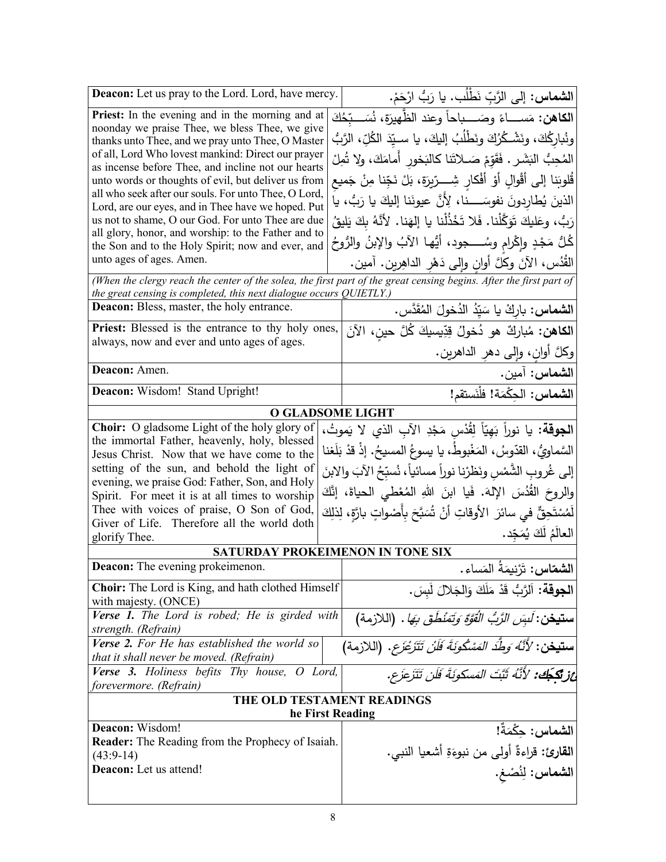| <b>Deacon:</b> Let us pray to the Lord. Lord, have mercy.                                                               | ا <b>لشماس:</b> إلى الرَّبِّ نَطْلُب. يا رَبُّ ارْحَمْ.                                                             |  |
|-------------------------------------------------------------------------------------------------------------------------|---------------------------------------------------------------------------------------------------------------------|--|
| <b>Priest:</b> In the evening and in the morning and at                                                                 | الكاهن: مَســــاءً وصَـــــباحاً وعند الظّهيرَة، نُسَـــبّحُكَ                                                      |  |
| noonday we praise Thee, we bless Thee, we give                                                                          |                                                                                                                     |  |
| thanks unto Thee, and we pray unto Thee, O Master                                                                       | ونُباركُكَ، ونَشْـكُرُكَ ونَطْلُبُ إليكَ، يا سـيّدَ الكُلِّ، الرَّبُ                                                |  |
| of all, Lord Who lovest mankind: Direct our prayer<br>as incense before Thee, and incline not our hearts                | المُحِبُّ البَشَرِ . فَقَوّمْ صَـلاتَنا كالبَخورِ أَمامَكَ، ولا تُمِلْ                                              |  |
| unto words or thoughts of evil, but deliver us from                                                                     | قُلوبَنا إلى أقْوالٍ أَوْ أَفْكارٍ شِـــرِّيرَةٍ، بَلْ نَجِّنا مِنْ جَميع                                           |  |
| all who seek after our souls. For unto Thee, O Lord,                                                                    | الذينَ يُطارِدونَ نفوسَــــنا، لِأَنَّ عيونَنا إليكَ يا رَبُّ، يا                                                   |  |
| Lord, are our eyes, and in Thee have we hoped. Put                                                                      |                                                                                                                     |  |
| us not to shame, O our God. For unto Thee are due                                                                       | رَبُّ، وعَليكَ تَوَكَّلْنا. فَلا تَخْذُلْنا يا إلهَنا. لأنَّهُ بِكَ يَليقُ                                          |  |
| all glory, honor, and worship: to the Father and to                                                                     | كُلُّ مَجْدٍ وإكْرام وسُـــــجود، أَيُّها الآبُ والإبنُ والرُوحُ                                                    |  |
| the Son and to the Holy Spirit; now and ever, and<br>unto ages of ages. Amen.                                           |                                                                                                                     |  |
|                                                                                                                         | الْقَدُس، الآنَ وكُلَّ أُوانٍ وإِلَى دَهْرِ الداهِرْيِنِ. آمينٍ.                                                    |  |
|                                                                                                                         | (When the clergy reach the center of the solea, the first part of the great censing begins. After the first part of |  |
| the great censing is completed, this next dialogue occurs QUIETLY.)<br><b>Deacon:</b> Bless, master, the holy entrance. |                                                                                                                     |  |
|                                                                                                                         | <b>الشماس:</b> باركْ يا سَيّدُ الدُخولَ المُقَدَّس.                                                                 |  |
| Priest: Blessed is the entrance to thy holy ones,<br>always, now and ever and unto ages of ages.                        | ا <b>لكاهن:</b> مُباركٌ هو دُخولُ قِدِّيسيكَ كُلَّ حينِ، الآنَ                                                      |  |
|                                                                                                                         | وكلَّ أُوان، وإلى دهر الداهرين.                                                                                     |  |
| Deacon: Amen.                                                                                                           | ا <b>لشماس:</b> آمين.                                                                                               |  |
| Deacon: Wisdom! Stand Upright!                                                                                          | الشماس: الحِكْمَة! فلْنَستقم!                                                                                       |  |
|                                                                                                                         | <b>O GLADSOME LIGHT</b>                                                                                             |  |
| <b>Choir:</b> O gladsome Light of the holy glory of                                                                     | ا <b>لجوقة:</b> يا نوراً بَهِيّاً لِقُدْس مَجْدِ الآبِ الذي لا يَموتُ،                                              |  |
| the immortal Father, heavenly, holy, blessed                                                                            |                                                                                                                     |  |
| Jesus Christ. Now that we have come to the                                                                              | السَّماويُّ ، القدّوسُ ، المَغْبوطُ، يا يسوعُ المسيحُ. إذْ قدْ بَلَغنا                                              |  |
| setting of the sun, and behold the light of                                                                             | إلى غُروبِ الشَّمْسِ ونَظرْنا نوراً مسائياً، نُسبِّحُ الآبَ والابنَ                                                 |  |
| evening, we praise God: Father, Son, and Holy                                                                           |                                                                                                                     |  |
| Spirit. For meet it is at all times to worship                                                                          | والروحَ القُدُسَ الإِلهَ. فَيا ابنَ اللهِ المُعْطى الحياةَ، إنَّكَ                                                  |  |
| Thee with voices of praise, O Son of God,                                                                               | لَمُسْتَحِقٌّ في سائرَ  الأوقاتِ أنْ شُبَّحَ بِأَصْواتٍ بارَّةٍ، لِذلِكَ                                            |  |
| Giver of Life. Therefore all the world doth                                                                             | العالَمُ لَكَ يُمَجِّد.                                                                                             |  |
| glorify Thee.                                                                                                           |                                                                                                                     |  |
|                                                                                                                         | SATURDAY PROKEIMENON IN TONE SIX                                                                                    |  |
| Deacon: The evening prokeimenon.                                                                                        | ا <b>لشمّاس:</b> تَرْنِيمَةُ المَساء.                                                                               |  |
| <b>Choir:</b> The Lord is King, and hath clothed Himself                                                                | الجوقة: اَلرَّبُ قَدْ مَلَكَ وَالجَلالَ لَبِسَ.                                                                     |  |
| with majesty. (ONCE)                                                                                                    |                                                                                                                     |  |
| Verse 1. The Lord is robed; He is girded with                                                                           | <b>ستيخن:</b> لَب <i>ِسَ الرَّبُّ الْقُوَّةِ وَتَمْنُطُقَ بِهَا</i> .  (اللازمة)                                    |  |
| strength. (Refrain)                                                                                                     |                                                                                                                     |  |
| Verse 2. For He has established the world so                                                                            | <b>ستيخن:</b> ' <i>لأَنَّهُ وَطِّدَ المَسْكُونَةَ فَلَنْ تَتَزَعْزَع.</i> (اللازمة)                                 |  |
| that it shall never be moved. (Refrain)                                                                                 |                                                                                                                     |  |
| <b>Verse 3.</b> Holiness befits Thy house, O Lord,<br>forevermore. (Refrain)                                            | عْزِيْكَجُكْ: لأَنَّهُ ثَبَّتَ المَسكونَةَ فَلَن تَتَزَعَزَع.                                                       |  |
| THE OLD TESTAMENT READINGS                                                                                              |                                                                                                                     |  |
|                                                                                                                         | he First Reading                                                                                                    |  |
| Deacon: Wisdom!                                                                                                         | ال <b>شماس:</b> حِكْمَةٌ!                                                                                           |  |
| <b>Reader:</b> The Reading from the Prophecy of Isaiah.                                                                 |                                                                                                                     |  |
| $(43:9-14)$                                                                                                             | القارئ: قراءةٌ أولى من نبوءَةِ أشعيا النبي.                                                                         |  |
| Deacon: Let us attend!                                                                                                  | ا <mark>لشماس:</mark> لِنُصْغ.                                                                                      |  |
|                                                                                                                         |                                                                                                                     |  |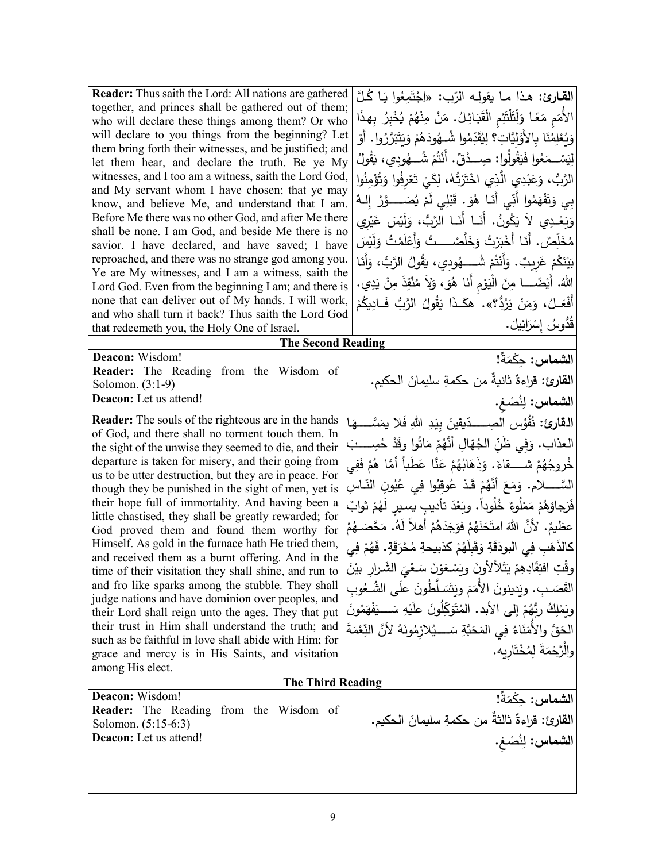| <b>Reader:</b> Thus saith the Lord: All nations are gathered<br>together, and princes shall be gathered out of them;<br>who will declare these things among them? Or who<br>will declare to you things from the beginning? Let<br>them bring forth their witnesses, and be justified; and<br>let them hear, and declare the truth. Be ye My<br>witnesses, and I too am a witness, saith the Lord God,<br>and My servant whom I have chosen; that ye may<br>know, and believe Me, and understand that I am.<br>Before Me there was no other God, and after Me there<br>shall be none. I am God, and beside Me there is no<br>savior. I have declared, and have saved; I have<br>reproached, and there was no strange god among you.<br>Ye are My witnesses, and I am a witness, saith the                                                                                                                                                                                                                                                                                                | القارئ: هذا ما يقولـه الرّب: «اِجْتَمِعُوا يَا كُلَّ<br>الأُمَمِ مَعًا وَلْتَلْتَئِمِ الْقَبَائِلُ. مَنْ مِنْهُمْ يُخْبِرُ بِهذَا<br>وَيُعْلِمُنَا بِالأَوَّلِيَّاتِ؟ لِيُقَدِّمُوا شُــهُودَهُمْ وَيَتَبَرَّرُوا. أَوْ<br>لِيَسْــمَعُوا فَيَقُولُوا: صِــدْقٌ. أَنْتُمْ شُـــهُودى، يَقُولُ<br>الرَّبُّ، وَعَبْدِي الَّذِي اخْتَرْتُهُ، لِكَيْ تَعْرِفُوا وَتُؤْمِنُوا<br>بي وَتَفْهَمُوا أَنِّي أَنَـا هُوَ. قَبْلِي لَمْ يُصَــــوَّرْ إِلـهٌ<br>وَبَعْـٰدِي لاَ يَكُونُ. أَنَـا أَنَـا الرَّبُّ، وَلَيْسَ غَيْرِي<br>مُخَلِّصٌ. أَنَا أَخْبَرْتُ وَخَلَّصْــــتُ وَأَعْلَمْتُ وَلَيْسَ<br>بَيْنَكُمْ غَرِيبٌ. وَأَنْتُمْ شُــــهُودِي، يَقُولُ الرَّبُّ، وَأَنَـا                                                                                                                                                                                                                 |
|-----------------------------------------------------------------------------------------------------------------------------------------------------------------------------------------------------------------------------------------------------------------------------------------------------------------------------------------------------------------------------------------------------------------------------------------------------------------------------------------------------------------------------------------------------------------------------------------------------------------------------------------------------------------------------------------------------------------------------------------------------------------------------------------------------------------------------------------------------------------------------------------------------------------------------------------------------------------------------------------------------------------------------------------------------------------------------------------|----------------------------------------------------------------------------------------------------------------------------------------------------------------------------------------------------------------------------------------------------------------------------------------------------------------------------------------------------------------------------------------------------------------------------------------------------------------------------------------------------------------------------------------------------------------------------------------------------------------------------------------------------------------------------------------------------------------------------------------------------------------------------------------------------------------------------------------------------------------------------------------|
| Lord God. Even from the beginning I am; and there is<br>none that can deliver out of My hands. I will work,<br>and who shall turn it back? Thus saith the Lord God                                                                                                                                                                                                                                                                                                                                                                                                                                                                                                                                                                                                                                                                                                                                                                                                                                                                                                                      | اللهُ. أَيْضَـــــا مِنَ الْمَيؤمِ أَنَا هُوَ، وَلاَ مُنْقِذَ مِنْ يَدِي.<br>أَفْعَـلُ، وَمَنْ يَرُدُّ؟». هكَـذَا يَقُولُ الرَّبُّ فَـادِيكُمْ                                                                                                                                                                                                                                                                                                                                                                                                                                                                                                                                                                                                                                                                                                                                         |
| that redeemeth you, the Holy One of Israel.                                                                                                                                                                                                                                                                                                                                                                                                                                                                                                                                                                                                                                                                                                                                                                                                                                                                                                                                                                                                                                             | قَدُّوسُ إِسْرَائِيلَ.                                                                                                                                                                                                                                                                                                                                                                                                                                                                                                                                                                                                                                                                                                                                                                                                                                                                 |
| <b>The Second Reading</b>                                                                                                                                                                                                                                                                                                                                                                                                                                                                                                                                                                                                                                                                                                                                                                                                                                                                                                                                                                                                                                                               |                                                                                                                                                                                                                                                                                                                                                                                                                                                                                                                                                                                                                                                                                                                                                                                                                                                                                        |
| Deacon: Wisdom!<br>Reader: The Reading from the Wisdom of<br>Solomon. (3:1-9)<br>Deacon: Let us attend!                                                                                                                                                                                                                                                                                                                                                                                                                                                                                                                                                                                                                                                                                                                                                                                                                                                                                                                                                                                 | ال <b>شماس:</b> حِكْمَةً!<br>القارئ: قراءةٌ ثانيةٌ من حكمةِ سليمانَ الحكيم.<br>الشماس: لِنُصْغ.                                                                                                                                                                                                                                                                                                                                                                                                                                                                                                                                                                                                                                                                                                                                                                                        |
| <b>Reader:</b> The souls of the righteous are in the hands<br>of God, and there shall no torment touch them. In<br>the sight of the unwise they seemed to die, and their<br>departure is taken for misery, and their going from<br>us to be utter destruction, but they are in peace. For<br>though they be punished in the sight of men, yet is<br>their hope full of immortality. And having been a<br>little chastised, they shall be greatly rewarded; for<br>God proved them and found them worthy for<br>Himself. As gold in the furnace hath He tried them,<br>and received them as a burnt offering. And in the<br>time of their visitation they shall shine, and run to<br>and fro like sparks among the stubble. They shall<br>judge nations and have dominion over peoples, and<br>their Lord shall reign unto the ages. They that put<br>their trust in Him shall understand the truth; and<br>such as be faithful in love shall abide with Him; for<br>grace and mercy is in His Saints, and visitation<br>among His elect.<br><b>The Third Reading</b><br>Deacon: Wisdom! | ا <b>لقارئ:</b> نُفُوُس الصِــــدّيقينَ بيَدِ اللهِ فَلا يمَسُّــــهَا<br>العذاب. وَفي ظَنِّ الجُهّالِ أَنَّهُمْ مَاتُوا وقَدْ حُسِــــبَ<br>خُروجُهُمْ شَـــــقاءً. وَذَهَابُهُمْ عَنَّا عَطَباً أَمَّا هُمْ فَفِي<br>السَّـــــــلام. وَمَعَ أَنَّهُمْ قَـدْ عُوقِبُوا فِي عُيُونِ النّــاسِ<br>فَرَجاؤهُمْ مَمْلُوءٌ خُلُوداً. وبَعْدَ تأديبٍ يسيرِ لَهُمْ ثوابٌ<br>عظيمٌ. لأنَّ اللهَ امتَحَنَهُمْ فوَجَدَهُمْ أَهلاً لَهُ. مَحَّصَــهُمْ<br>كالذَهَبِ فِي البودَقَةِ وَقَبِلَهُمْ كذبيحةِ مُحْرَقَةٍ. فَهُمْ فِي<br>وقْتِ افْتِقَادِهِمْ يَتَلألأُونَ ويَسْعَوْنَ سَعْيَ الشَّرارِ بَيْنَ<br>القَصَـبِ. ويَدينونَ الأَمَمَ ويَتَسَلَّطُونَ علَى الشُـعُوبِ<br>وبَمْلِكُ رِبُّهُمْ إِلَى الأَبِدِ. الْمُتَوَكِّلُونَ علَيْهِ سَــــيَفْهَمُونَ<br>الحَقَّ والأَمَنَاءُ فِي المَحَبَّةِ سَــــيُلازِمُونَهُ لأَنَّ النِّعْمَةَ<br>والْرَّحْمَةَ لِمُخْتَارِبه.<br>الشماس: حِكْمَةً! |
| <b>Reader:</b> The Reading from the Wisdom of<br>Solomon. (5:15-6:3)<br>Deacon: Let us attend!                                                                                                                                                                                                                                                                                                                                                                                                                                                                                                                                                                                                                                                                                                                                                                                                                                                                                                                                                                                          | القارئ: قراءةٌ ثالثةٌ من حكمةِ سليمانَ الحكيم.<br>الشماس: لِنُصْغ.                                                                                                                                                                                                                                                                                                                                                                                                                                                                                                                                                                                                                                                                                                                                                                                                                     |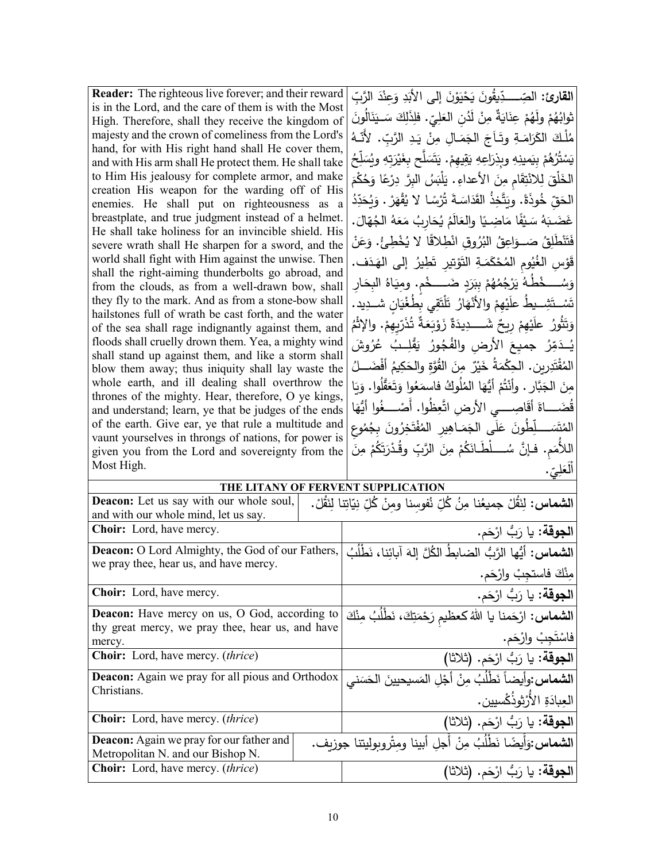| Reader: The righteous live forever; and their reward                                                        | ا <b>لقارئ:</b> الصِّــــدِّيقُونَ يَحْيَوْنَ إِل <sub>َى</sub> الأَبَدِ وَعِنْدَ الرَّبِّ |
|-------------------------------------------------------------------------------------------------------------|--------------------------------------------------------------------------------------------|
| is in the Lord, and the care of them is with the Most                                                       |                                                                                            |
| High. Therefore, shall they receive the kingdom of                                                          | ثوابُهُمْ ولَهُمْ عِنَايَةٌ مِنْ لَدُنِ العَلِيِّ. فلِذَلِكَ سَــيَنَالُونَ                |
| majesty and the crown of comeliness from the Lord's                                                         | مُلْكَ الكَرَامَـةِ وتَـاَجَ الجَمَـالِ مِنْ يَـدِ الرَّبِّ. لأَنّهُ                       |
| hand, for with His right hand shall He cover them,                                                          | يَسْتُرُهُمْ بِيَمِينِهِ وِبِذِرَاعِهِ يَقِيهِمْ. يَتَسَلَّح بِغَيْرَتِهِ وِيُسَلِّحُ      |
| and with His arm shall He protect them. He shall take                                                       |                                                                                            |
| to Him His jealousy for complete armor, and make                                                            | الخَلْقَ لِلاَنْتِقَامِ مِنَ الأعداءِ . يَلْبَسُ البِرَّ دِرْعًا وَحُكْمَ                  |
| creation His weapon for the warding off of His                                                              | الحَقّ خُوذَةً. ويَتَّخِذُ القَدَاسَةَ تُرْسًا لا يُقْهَرْ . وَيُحَدِّدُ                   |
| enemies. He shall put on righteousness as a                                                                 |                                                                                            |
| breastplate, and true judgment instead of a helmet.<br>He shall take holiness for an invincible shield. His | غَضَبَهُ سَيْفًا مَاضِيًا والعَالَمُ يُحَارِبُ مَعَهُ الْجُهّالَ.                          |
| severe wrath shall He sharpen for a sword, and the                                                          | فَتَنْطَلِقُ صَــوَاعِقُ البُرُوقِ انْطِلاقًا لا يُخْطِئُ. وَعَنْ                          |
| world shall fight with Him against the unwise. Then                                                         |                                                                                            |
| shall the right-aiming thunderbolts go abroad, and                                                          | قَوْسِ الغُيُومِ المُحْكَمَـةِ التَوْتِيرِ تَطِيرُ إِلـى الهَـدَف.                         |
| from the clouds, as from a well-drawn bow, shall                                                            | وَسُــــخْطُـهُ يَرْجُمُهُمْ بِبَرَدٍ ضَـــــخْم. ومِيَاهُ البِحَار                        |
| they fly to the mark. And as from a stone-bow shall                                                         |                                                                                            |
| hailstones full of wrath be cast forth, and the water                                                       | تَسْتَشِــيطُ علَيْهِمْ والأَنْهَارُ تَلْتَقِي بِطُغْيَانِ شــدِيد.                        |
| of the sea shall rage indignantly against them, and                                                         | وَتَثُورُ ۚ عَلَيْهِمْ رِيحٌ شَـــــدِيدَةٌ زَوْبَعَةٌ تُذَرِّيهِمْ. والإثْمُ              |
| floods shall cruelly drown them. Yea, a mighty wind                                                         | يُـدَمِّرُ جميعَ الأرض والفُجُورُ يَقْلِـبُ عُرُوشَ                                        |
| shall stand up against them, and like a storm shall                                                         |                                                                                            |
| blow them away; thus iniquity shall lay waste the                                                           | المُقْتَدِرِينِ. الحِكْمَةُ خَيْرٌ مِنَ القُوَّةِ والحَكِيمُ أَفْضَـــلُ                   |
| whole earth, and ill dealing shall overthrow the                                                            | مِنَ الجَبَّارِ . وأَنْتُمْ أَيُّهَا المُلُوكُ فاسمَعُوا وَتَعَقَّلُوا . وَيَا             |
| thrones of the mighty. Hear, therefore, O ye kings,                                                         |                                                                                            |
| and understand; learn, ye that be judges of the ends                                                        | قُضَـــاةَ أقَاصِــــى الأرض اتَّعِظُوا. أَصْــــغُوا أَيُّهَا                             |
| of the earth. Give ear, ye that rule a multitude and                                                        | المُتَسَـــلِّطُونَ عَلَى الجَمَـاهِير المُفْتَخِرُونَ بِجُمُوعِ                           |
| vaunt yourselves in throngs of nations, for power is                                                        |                                                                                            |
| given you from the Lord and sovereignty from the                                                            | اللأُمَم. فـإنَّ سُــــلْطَـانَكُمْ مِنَ الرَّبِّ وقُـدْرَتَكُمْ مِنَ                      |
| Most High.                                                                                                  | العَلِيِّ.                                                                                 |
| THE LITANY OF FERVENT SUPPLICATION                                                                          |                                                                                            |
| Deacon: Let us say with our whole soul,                                                                     | ا <b>لشماس:</b> لِنَقُلْ جميعُنا مِنُ كُلِّ نُفوسنا ومِنْ كُلِّ نِيّاتِنا لِنَقُلْ.        |
| and with our whole mind, let us say.                                                                        |                                                                                            |
| Choir: Lord, have mercy.                                                                                    | ا <b>لجوقة:</b> يا رَبُّ ارْحَم.                                                           |
| Deacon: O Lord Almighty, the God of our Fathers,                                                            | ا <b>لشماس:</b> أيُها الرَّبُ الضابطُ الكُلَّ إلهَ آبائِنا، نَطْلُبُ                       |
| we pray thee, hear us, and have mercy.                                                                      |                                                                                            |
|                                                                                                             | مِنْكَ فاستجِبْ وارْحَم.                                                                   |
| Choir: Lord, have mercy.                                                                                    | ا <b>لجوقة:</b> يا رَبُّ ارْحَم.                                                           |
| Deacon: Have mercy on us, O God, according to                                                               | <b>الشماس:</b> ارْحَمنا يا اللهُ كعظيم رَحْمَتِكَ، نَطْلُبُ مِنْكَ                         |
| thy great mercy, we pray thee, hear us, and have                                                            |                                                                                            |

|                                                                                                   | مِنك فاستجب وارحم.                                                 |  |
|---------------------------------------------------------------------------------------------------|--------------------------------------------------------------------|--|
| <b>Choir:</b> Lord, have mercy.                                                                   | ا <mark>لجوقة:</mark> يا رَبُّ ارْحَم.                             |  |
| Deacon: Have mercy on us, O God, according to<br>thy great mercy, we pray thee, hear us, and have | <b>الشماس:</b> ارْحَمنا يا اللهُ كعظيم رَحْمَتِكَ، نَطْلُبُ مِنْكَ |  |
| mercy.                                                                                            | فاسْتَجِبْ وارْحَم.                                                |  |
| <b>Choir:</b> Lord, have mercy. <i>(thrice)</i>                                                   | الجوقة: يا رَبُّ ارْحَم. (ثلاثا)                                   |  |
| <b>Deacon:</b> Again we pray for all pious and Orthodox<br>Christians.                            | الشماس:وأيضاً نَطْلُبُ مِنْ أَجْلِ المَسيحيينَ الحَسَني            |  |
|                                                                                                   | العِبادَةِ الأُرْثِوذُكْسيين.                                      |  |
| <b>Choir:</b> Lord, have mercy. <i>(thrice)</i>                                                   | الجوقة: يا رَبُّ ارْحَم. (ثلاثا)                                   |  |
| <b>Deacon:</b> Again we pray for our father and<br>Metropolitan N. and our Bishop N.              | الشماس:وَأَيضًا نَطْلُبُ مِنْ أَجلِ أبينا ومِتْروبوليتنا جوزيف.    |  |
| <b>Choir:</b> Lord, have mercy. <i>(thrice)</i>                                                   | ا <b>لجوقة:</b> يا رَبُّ ارْحَم. (ثلاثا)                           |  |
|                                                                                                   |                                                                    |  |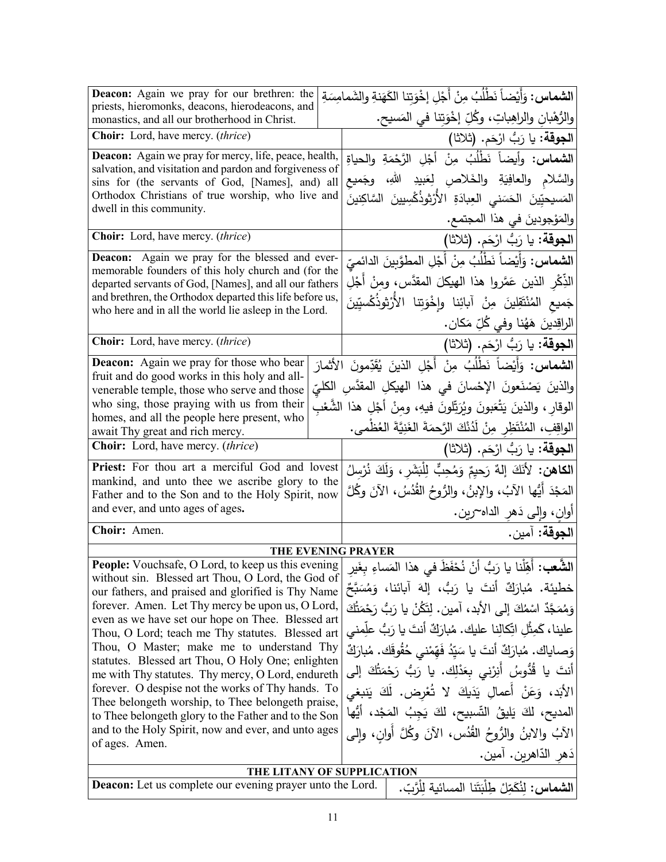| <b>Deacon:</b> Again we pray for our brethren: the<br>priests, hieromonks, deacons, hierodeacons, and                                                       |  |                                        | ا <b>لشماس :</b> وَأَيْضاً نَطْلُبُ مِنْ أَجْلٍ إخْوَتنا الكَهَنةِ والشَمامِسَةِ   |
|-------------------------------------------------------------------------------------------------------------------------------------------------------------|--|----------------------------------------|------------------------------------------------------------------------------------|
| monastics, and all our brotherhood in Christ.                                                                                                               |  |                                        | والرُّهْبانِ والراهِباتِ، وكُلِّ إخْوَتِنا في المَسيح.                             |
| Choir: Lord, have mercy. (thrice)                                                                                                                           |  |                                        | ا <b>لجوقة:</b> يا رَبُّ ارْحَم. (ثلاثا)                                           |
| Deacon: Again we pray for mercy, life, peace, health,                                                                                                       |  |                                        | ا <b>لشماس:</b> وأيضاً نَطْلُبُ مِنْ أَجْلِ الرَّحْمَةِ والحياةِ                   |
| salvation, and visitation and pardon and forgiveness of<br>sins for (the servants of God, [Names], and) all                                                 |  |                                        | والسَّلام والعافِيَةِ والخَلاصِ لِعَبِيدِ اللهِ، وجَميع                            |
| Orthodox Christians of true worship, who live and                                                                                                           |  |                                        | المَسيحيّينَ الحَسَنى العِبادَةِ الأَرْثوذُكْسِيينَ السَّاكِنينَ                   |
| dwell in this community.                                                                                                                                    |  |                                        | والمَوْجودينَ في هذا المجتمع.                                                      |
| Choir: Lord, have mercy. (thrice)                                                                                                                           |  |                                        | ا <b>لجوقة:</b> يا رَبُّ ارْحَم. (ثلاثا)                                           |
| Deacon: Again we pray for the blessed and ever-                                                                                                             |  |                                        | ا <b>لشماس:</b> وَأَيْضاً نَطْلُبُ مِنْ أَجْلِ المطوَّبِينَ الدائميّ               |
| memorable founders of this holy church and (for the<br>departed servants of God, [Names], and all our fathers                                               |  |                                        | الذِّكْرِ الذينِ عَمَّروا هذا الهيكلَ المقدَّسِ، ومنْ أَجْلِ                       |
| and brethren, the Orthodox departed this life before us,                                                                                                    |  |                                        | جَميع المُنْتَقِلينَ مِنْ آبائِنا وإِخْوَتِنا الأَرْثوذُكُسيِّينَ                  |
| who here and in all the world lie asleep in the Lord.                                                                                                       |  |                                        | الراقِدينَ هَهُنا وفي كُلِّ مَكان.                                                 |
| Choir: Lord, have mercy. (thrice)                                                                                                                           |  |                                        | ا <b>لجوقة:</b> يا رَبُّ ارْحَم. (ثلاثا)                                           |
| <b>Deacon:</b> Again we pray for those who bear                                                                                                             |  |                                        | ا <b>لشماس:</b> وَأَيْضاً نَطْلُبُ مِنْ أَجْلِ الذينَ يُقَدِّمونَ الأَثمارَ        |
| fruit and do good works in this holy and all-<br>venerable temple, those who serve and those                                                                |  |                                        | والذينَ يَصْنَعونَ الإِحْسانَ في هذا الهيكلِ المقدَّسِ الكليِّ                     |
| who sing, those praying with us from their                                                                                                                  |  |                                        | الوقار ، والذينَ يَتْعَبونَ ويُرَتِّلونَ فيهِ، ومنْ أَجْلِ هذا الشَّعْبِ           |
| homes, and all the people here present, who<br>await Thy great and rich mercy.                                                                              |  |                                        | الواقِفِ، المُنْتَظِرِ مِنْ لَدُنْكَ الرَّحمَةَ الغَنِيَّةَ العُظْمى.              |
| Choir: Lord, have mercy. (thrice)                                                                                                                           |  |                                        | الجوقة: يا رَبُّ ارْحَم. (ثلاثا)                                                   |
| Priest: For thou art a merciful God and lovest                                                                                                              |  |                                        | ا <b>لكاهن:</b> لأَنَكَ إلهٌ رَحيِمٌ وَمُحِبٍّ لِلْبَشَرِ ، وَلَكَ نُرْس <i>لُ</i> |
| mankind, and unto thee we ascribe glory to the<br>Father and to the Son and to the Holy Spirit, now                                                         |  |                                        | المَجْدَ أَيُّها الآبُ، والإبنُ، والرُّوحُ القُدُسُ، الآنَ وكُلَّ                  |
| and ever, and unto ages of ages.                                                                                                                            |  | أُوانِ، وَإِلَى دَهْرِ الْدَاهَ~رِينِ. |                                                                                    |
| Choir: Amen.                                                                                                                                                |  | ا <b>لجوقة:</b> آمين.                  |                                                                                    |
| <b>THE EVENING PRAYER</b>                                                                                                                                   |  |                                        |                                                                                    |
| People: Vouchsafe, O Lord, to keep us this evening                                                                                                          |  |                                        | ا <b>لشَّعب:</b> أَهِّلْنا يا رَبُّ أَنْ نُحْفَظَ في هذا المَساءِ بغَير            |
| without sin. Blessed art Thou, O Lord, the God of<br>our fathers, and praised and glorified is Thy Name                                                     |  |                                        | خطيئة. مُبارَكٌ أَنتَ يا رَبُّ، إِلهَ آبائنا، وَمُسَبَّحٌ                          |
| forever. Amen. Let Thy mercy be upon us, O Lord,                                                                                                            |  |                                        | وَمُمَجَّدٌ اسْمُكَ إِلَى الأَبِدِ، آمينٍ. لِتَكُنْ يا رَبُّ رَجْمَتُكَ            |
| even as we have set our hope on Thee. Blessed art<br>Thou, O Lord; teach me Thy statutes. Blessed art                                                       |  |                                        | علينا، كَمِثْلِ اتِّكالِنا عليك. مُبارَكٌ أنتَ يا رَبُّ علِّمني                    |
| Thou, O Master; make me to understand Thy                                                                                                                   |  |                                        | وَصاياك. مُبارَكٌ أنتَ يا سَيّدُ فَهّمْنـى حُقُوقَك. مُبارَكٌ                      |
| statutes. Blessed art Thou, O Holy One; enlighten<br>me with Thy statutes. Thy mercy, O Lord, endureth<br>forever. O despise not the works of Thy hands. To |  |                                        | أنتَ يا قُدُّوسُ أَنِرْني بِعَدْلِك. يا رَبُّ رَحْمَتُكَ إلى                       |
|                                                                                                                                                             |  |                                        | الأَبَد، وَعَنْ أَعمالِ يَدَيكَ لا تُعْرِض. لَكَ يَنبغي                            |
| Thee belongeth worship, to Thee belongeth praise,<br>to Thee belongeth glory to the Father and to the Son                                                   |  |                                        | المديح، لكَ يَليقُ التِّسبيح، لكَ يَجِبُ المَجْدِ، أَيُّها                         |
| and to the Holy Spirit, now and ever, and unto ages                                                                                                         |  |                                        | الآبُ والابنُ والرُّوحُ القُدُس، الآنَ وكُلَّ أُوانِ، وإلى                         |
| of ages. Amen.                                                                                                                                              |  |                                        | دَهرِ الدّاهرينِ. آمين.                                                            |
| THE LITANY OF SUPPLICATION                                                                                                                                  |  |                                        |                                                                                    |
| <b>Deacon:</b> Let us complete our evening prayer unto the Lord.                                                                                            |  |                                        | ا <b>لشماس:</b> لنُكَمِّلْ طِلْبَتَنا المسائية للْرَّبِّ.                          |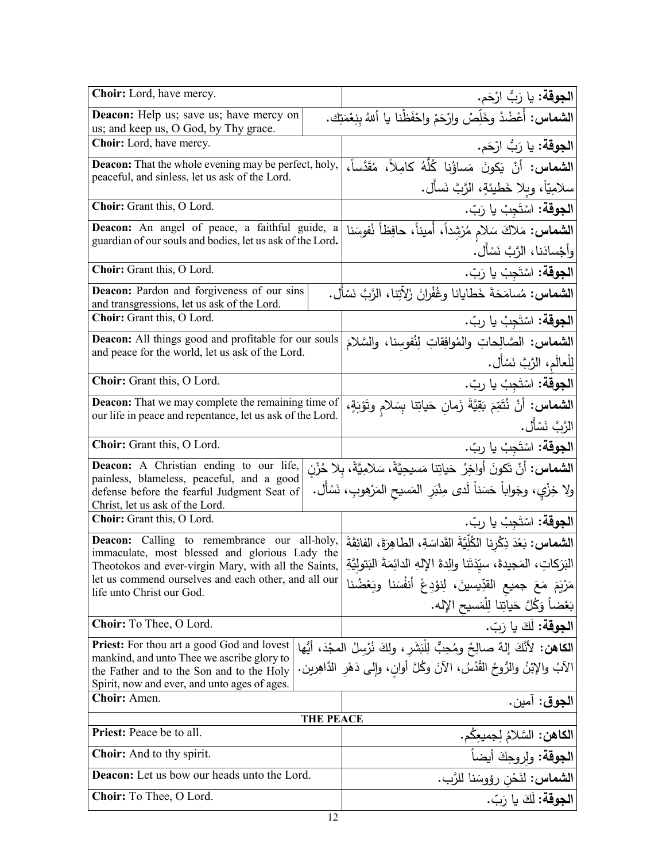| Choir: Lord, have mercy.                                                                                                    |                                                | ا <b>لجوقة:</b> يا رَبُّ ارْحَم.                                                          |  |
|-----------------------------------------------------------------------------------------------------------------------------|------------------------------------------------|-------------------------------------------------------------------------------------------|--|
| Deacon: Help us; save us; have mercy on<br>us; and keep us, O God, by Thy grace.                                            |                                                | ال <b>شماس:</b> أَعْضُدْ وخَلِّصْ وارْحَمْ واحْفَظْنا يا أللهُ بنِعْمَتِكَ.               |  |
|                                                                                                                             | Choir: Lord, have mercy.                       |                                                                                           |  |
| Deacon: That the whole evening may be perfect, holy,                                                                        |                                                | ا <b>لشماس:</b> أَنْ يَكُونَ مَساؤُنا كُلُّهُ كامِلاً، مُقَدَّساً،                        |  |
|                                                                                                                             | peaceful, and sinless, let us ask of the Lord. |                                                                                           |  |
| Choir: Grant this, O Lord.                                                                                                  |                                                | <b>الجوقة:</b> اسْتَجِبْ يا رَبّ.                                                         |  |
| Deacon: An angel of peace, a faithful guide, a                                                                              |                                                | <b>الشماس:</b> مَلاكَ سَلام مُرْشِداً، أَميناً، حافِظاً نُفوسَنا                          |  |
| guardian of our souls and bodies, let us ask of the Lord.                                                                   |                                                | وأجْسادَنا، الرَّبَّ نَسْأَل.                                                             |  |
| Choir: Grant this, O Lord.                                                                                                  |                                                | ا <b>لجوقة:</b> اسْتَجِبْ يا رَبّ.                                                        |  |
| Deacon: Pardon and forgiveness of our sins<br>and transgressions, let us ask of the Lord.                                   |                                                | <b>الشماس:</b> مُسامَحَةَ خَطايانا وغُفْرانَ زَلاّتِنا، الرَّبَّ نَسْأَل.                 |  |
| Choir: Grant this, O Lord.                                                                                                  |                                                | ا <b>لجوقة:</b> اسْتَجِبْ يا ربّ.                                                         |  |
| <b>Deacon:</b> All things good and profitable for our souls                                                                 |                                                | ا <b>لشماس:</b> الصَّالِحاتِ والمُوافِقاتِ لِنُفوسنا، والسَّلامَ                          |  |
| and peace for the world, let us ask of the Lord.                                                                            |                                                | الِلْعالَم، الرَّبَّ نَسْأَل.                                                             |  |
| Choir: Grant this, O Lord.                                                                                                  |                                                | ا <b>لجوقة:</b> اسْتَجِبْ يا ربّ.                                                         |  |
| <b>Deacon:</b> That we may complete the remaining time of                                                                   |                                                | ا <b>لشماس:</b> أَنْ نُتَمِّمَ بَقِيَّةَ زَمانِ حَياتِنا بِسَلام وتَوْبَةٍ،               |  |
| our life in peace and repentance, let us ask of the Lord.                                                                   |                                                | الرَّبَّ نَسْأَل.                                                                         |  |
| Choir: Grant this, O Lord.                                                                                                  |                                                | ا <b>لجوقة:</b> اسْتَجِبْ يا ربّ.                                                         |  |
| <b>Deacon:</b> A Christian ending to our life,                                                                              |                                                | ا <b>لشماس:</b> أنْ تَكونَ أواخِرُ حَياتِنا مَسيحِيَّةً، سَلامِيَّةً، بِلا حُزْنِ         |  |
| painless, blameless, peaceful, and a good<br>defense before the fearful Judgment Seat of<br>Christ, let us ask of the Lord. |                                                | ولا خِزْيٍ، وجَواباً حَسَناً لَدى مِنْبَرِ  المَسيح المَرْهوبِ، نَسْأَل.                  |  |
| Choir: Grant this, O Lord.                                                                                                  |                                                | ا <b>لجوقة:</b> اسْتَجِبْ يا ربّ.                                                         |  |
| <b>Deacon:</b> Calling to remembrance our all-holy,<br>immaculate, most blessed and glorious Lady the                       |                                                | ال <b>شماس:</b> بَعْدَ ذِكْرِنا الْكُلِّيَّةَ القَداسَةِ، الطاهِرَةَ، الْفَائِقَةَ        |  |
| Theotokos and ever-virgin Mary, with all the Saints,                                                                        |                                                | البَرَكاتِ، المَجيدةَ، سيِّدَتَنا والِدةَ الإِلهِ الدائِمَةَ البَتولِيَّةِ                |  |
| let us commend ourselves and each other, and all our<br>life unto Christ our God.                                           |                                                | مَرْيَمَ مَعَ جميع القدِّيسينَ، لِنوْدِعْ أَنفُسَنا وبَعْضُنا                             |  |
|                                                                                                                             |                                                | بَعْضاً وَكُلَّ حَياتِنا لِلْمَسيح الإِله.                                                |  |
| Choir: To Thee, O Lord.                                                                                                     |                                                | ا <b>لجوقة:</b> لَكَ يا رَبّ.                                                             |  |
| <b>Priest:</b> For thou art a good God and lovest<br>mankind, and unto Thee we ascribe glory to                             |                                                | ا <b>لكاهن:</b> لأَنَّكَ إلهٌ صالِحٌ ومُحِبٌّ لِلْبَشَرِ ، ولكَ نُرْسِلُ المجْدَ، أَيُّها |  |
| the Father and to the Son and to the Holy                                                                                   |                                                | الآبُ والإبْنُ والرُّوحُ القُدُسُ، الآنَ وكُلَّ أوانِ، وإلى دَهْرِ الدَّاهِرينِ.          |  |
| Spirit, now and ever, and unto ages of ages.<br>Choir: Amen.                                                                |                                                |                                                                                           |  |
| <b>THE PEACE</b>                                                                                                            |                                                | ا <b>لجوق</b> : أمين.                                                                     |  |
| Priest: Peace be to all.                                                                                                    |                                                | ا <b>لكاهن:</b> السَّلامُ لِجميعِكم.                                                      |  |
| <b>Choir:</b> And to thy spirit.                                                                                            |                                                | ا <b>لجوقة</b> : ولروحِكَ أيضاً                                                           |  |
| <b>Deacon:</b> Let us bow our heads unto the Lord.                                                                          |                                                | ا <b>لشماس:</b> لذَحْن رؤوسَنا للرَّب.                                                    |  |
| Choir: To Thee, O Lord.                                                                                                     |                                                | ا <b>لجوقة:</b> لَكَ يا رَبّ.                                                             |  |
|                                                                                                                             |                                                |                                                                                           |  |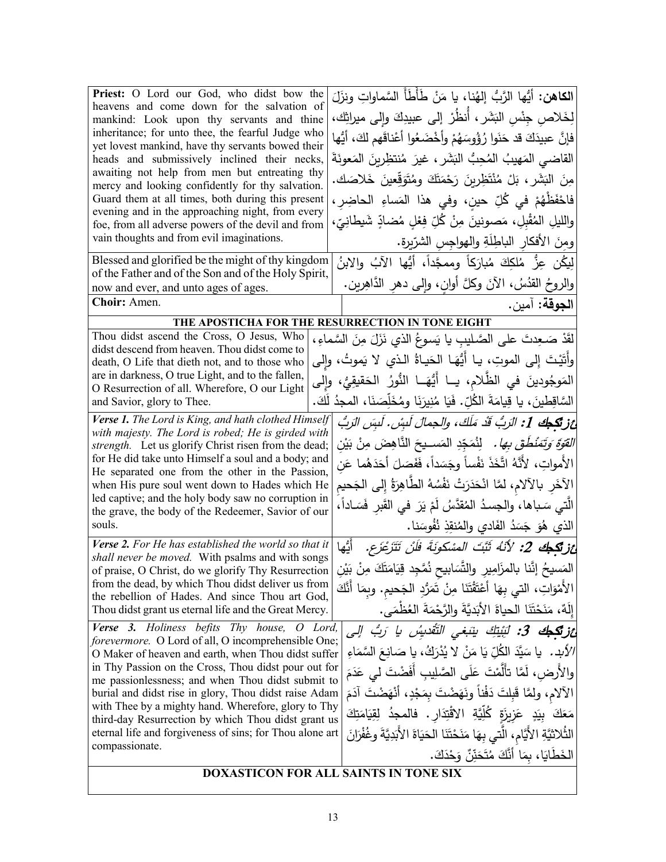| Priest: O Lord our God, who didst bow the                                                                                                                                            |         | ا <b>لكاهن:</b> أَيُّها الرَّبُّ إلهُنا، يا مَنْ طَأَطَأَ السَّماواتِ ونزَلَ         |  |  |
|--------------------------------------------------------------------------------------------------------------------------------------------------------------------------------------|---------|--------------------------------------------------------------------------------------|--|--|
| heavens and come down for the salvation of                                                                                                                                           |         | لِخَلاص جِنْس البَشَر ، أنظُرْ إلى عبيدِكَ وإلى ميراثِك،                             |  |  |
| mankind: Look upon thy servants and thine<br>inheritance; for unto thee, the fearful Judge who                                                                                       |         |                                                                                      |  |  |
| yet lovest mankind, have thy servants bowed their                                                                                                                                    |         | فإنَّ عبيدَكَ قد حَنَوا رُؤُوسَهُمْ وأَخْضَعُوا أَعْناقَهم لكَ، أَيُّها              |  |  |
| heads and submissively inclined their necks,                                                                                                                                         |         | القاضى المَهيبُ المُحِبُّ البَشَرِ ، غيرَ مُنتظِرينَ المَعونَةَ                      |  |  |
| awaiting not help from men but entreating thy<br>mercy and looking confidently for thy salvation.                                                                                    |         | مِنَ البَشَرِ ، بَلْ مُنْتَظِرِينَ رَحْمَتَكَ ومُتَوَقِّعِينَ خَلاصَك.               |  |  |
| Guard them at all times, both during this present                                                                                                                                    |         | فاحْفَظْهُمْ في كُلِّ حين، وفي هذا المَساءِ الحاضِرِ،                                |  |  |
| evening and in the approaching night, from every<br>foe, from all adverse powers of the devil and from                                                                               |         | والليلِ المُقْبِلِ، مَصونينَ مِنْ كُلِّ فِعْلِ مُضادٍّ شَيطانِيّ،                    |  |  |
| vain thoughts and from evil imaginations.                                                                                                                                            |         | ومِنَ الأفكارِ الباطِلَةِ والهواجِسِ الشرّيرةِ.                                      |  |  |
| Blessed and glorified be the might of thy kingdom                                                                                                                                    |         | لِيكُن عِزُّ مُلكِكَ مُبارَكاً وممجَّداً، أيُّها الآبُ والابنُ                       |  |  |
| of the Father and of the Son and of the Holy Spirit,                                                                                                                                 |         |                                                                                      |  |  |
| now and ever, and unto ages of ages.                                                                                                                                                 |         | والروحُ القُدُسُ، الآنَ وكلَّ أوانِ، وإلى دهرِ الدَّاهِرينِ.                         |  |  |
| Choir: Amen.                                                                                                                                                                         |         | ا <b>لجوقة:</b> آمين.                                                                |  |  |
|                                                                                                                                                                                      |         | THE APOSTICHA FOR THE RESURRECTION IN TONE EIGHT                                     |  |  |
| Thou didst ascend the Cross, O Jesus, Who<br>didst descend from heaven. Thou didst come to                                                                                           |         | لقَدْ صَـعِدتَ على الصَّـليبِ يا يَسوعُ الذي نَزَلَ مِنَ السَّماءِ،                  |  |  |
| death, O Life that dieth not, and to those who                                                                                                                                       |         | وأَتَيْتَ إِلَى الموتِ، يا أَيُّهَـا الْحَياةُ الَّذي لا يَموتُ، وإِلَى              |  |  |
| are in darkness, O true Light, and to the fallen,                                                                                                                                    |         | المَوجُودينَ في الظُّلام، يــا أَيُّهَــا النُّورُ الحَقيقِيُّ، وإلى                 |  |  |
| O Resurrection of all. Wherefore, O our Light<br>and Savior, glory to Thee.                                                                                                          |         | السَّاقِطينَ، يا قِيامَةَ الكُلِّ. فَيَا مُنِيرَنَا ومُخَلِّصَنَا، المجدُ لَكَ.      |  |  |
| Verse 1. The Lord is King, and hath clothed Himself                                                                                                                                  |         | عْ فِي تَجْجِكَ 1: الرَبُّ قَدْ مَلَكَ، والجمالَ لَبِسْ. لَبِسَ الرَبُّ              |  |  |
| with majesty. The Lord is robed; He is girded with                                                                                                                                   |         |                                                                                      |  |  |
| strength. Let us glorify Christ risen from the dead;                                                                                                                                 |         | <i>القوّة وَتَمَنْطَقَ بِها.</i> لِنُمَجّدِ المَســيحَ النّاهِضَ مِنْ بَيْن          |  |  |
| for He did take unto Himself a soul and a body; and<br>He separated one from the other in the Passion,                                                                               |         | الأمواتِ، لأنَّهُ اتَّخَذَ نَفْساً وجَسَداً، فَفَصَلَ أَحَدَهُما عَن                 |  |  |
| when His pure soul went down to Hades which He                                                                                                                                       |         | الآخَرِ بالآلام، لمَّا انْحَدَرَتْ نَفْسُهُ الطَّاهِرَةُ إِلى الجَحيم                |  |  |
| led captive; and the holy body saw no corruption in<br>the grave, the body of the Redeemer, Savior of our                                                                            |         | الَّتي سَـباها، والجسـدُ المُقدَّسُ لَمْ يَرَ فـي القَبر فَسَـاداً،                  |  |  |
| souls.                                                                                                                                                                               |         | الذي هُوَ جَسَدُ الفَادي والمُنقِذِ نُفُوسَنا.                                       |  |  |
| Verse 2. For He has established the world so that it                                                                                                                                 |         | <i>غز<b>تكِيكَ 2:</b> لأَنْهُ ثَبَّتَ المسْكونَةَ فَلَنْ تَتَزَعْزَع.</i> أَيُّها    |  |  |
| shall never be moved. With psalms and with songs                                                                                                                                     |         | المَسيحُ إنَّنا بالمزَامِيرِ والتَّسَابيح نُمَّجِد قِيَامَتَكَ مِنْ بَيْنِ           |  |  |
| of praise, O Christ, do we glorify Thy Resurrection<br>from the dead, by which Thou didst deliver us from                                                                            |         |                                                                                      |  |  |
| the rebellion of Hades. And since Thou art God,                                                                                                                                      |         | الأَمْوَاتِ، التي بِهَا أَعْتَقْتَنَا مِنْ تَمَرُّدِ الْجَحيم. وبِمَا أَنَّكَ        |  |  |
| Thou didst grant us eternal life and the Great Mercy.                                                                                                                                |         | إِلَٰهٌ، مَنَحْتَنَا الحياةَ الأَبَديَّةَ والرَّحْمَةَ العُظْمَى.                    |  |  |
| <b>Verse 3.</b> Holiness befits Thy house,<br>forevermore. O Lord of all, O incomprehensible One;                                                                                    | O Lord, | <b>ئزنگجك 3:</b> لَبُيْتِكَ بِنَبَغى التَّقْدِيسُ يا رَبُّ إلى                       |  |  |
| O Maker of heaven and earth, when Thou didst suffer                                                                                                                                  |         | /لأَبِد.   يا سَيَّدَ الكُلّ يَا مَنْ  لا يُدْرَكُ، يا صَانِعَ السَّمَاءِ            |  |  |
| in Thy Passion on the Cross, Thou didst pour out for                                                                                                                                 |         |                                                                                      |  |  |
| والأرض، لَمَّا تأَلَّمْتَ عَلَى الصَّلِيبِ أَفَضْتَ لـى عَدَمَ<br>me passionlessness; and when Thou didst submit to                                                                  |         |                                                                                      |  |  |
| الآلام، ولمَّا قَبِلتَ دَفْناً ونَهَضْتَ بِمَجْدٍ، أَنْهَضْتَ آدَمَ<br>burial and didst rise in glory, Thou didst raise Adam                                                         |         |                                                                                      |  |  |
| with Thee by a mighty hand. Wherefore, glory to Thy<br>مَعَكَ بِيَدٍ عَزِيزَةٍ كُلِّيَّةِ الاقْتِدَارِ. فالمجدُ لِقِيَامَتِكَ<br>third-day Resurrection by which Thou didst grant us |         |                                                                                      |  |  |
| eternal life and forgiveness of sins; for Thou alone art                                                                                                                             |         | الثُلاثيَّةِ الأَيَّامِ، الَّتي بِهَا مَنَحْتَنَا الحَيَاةَ الأَبَدِيَّةَ وغُفْرَانَ |  |  |
| compassionate.                                                                                                                                                                       |         | الْخَطَايَا، بِمَا أَنَّكَ مُتَحَنِّنٌ وَحْدَكَ.                                     |  |  |
|                                                                                                                                                                                      |         | DOXASTICON FOR ALL SAINTS IN TONE SIX                                                |  |  |
|                                                                                                                                                                                      |         |                                                                                      |  |  |

 $\overline{\phantom{a}}$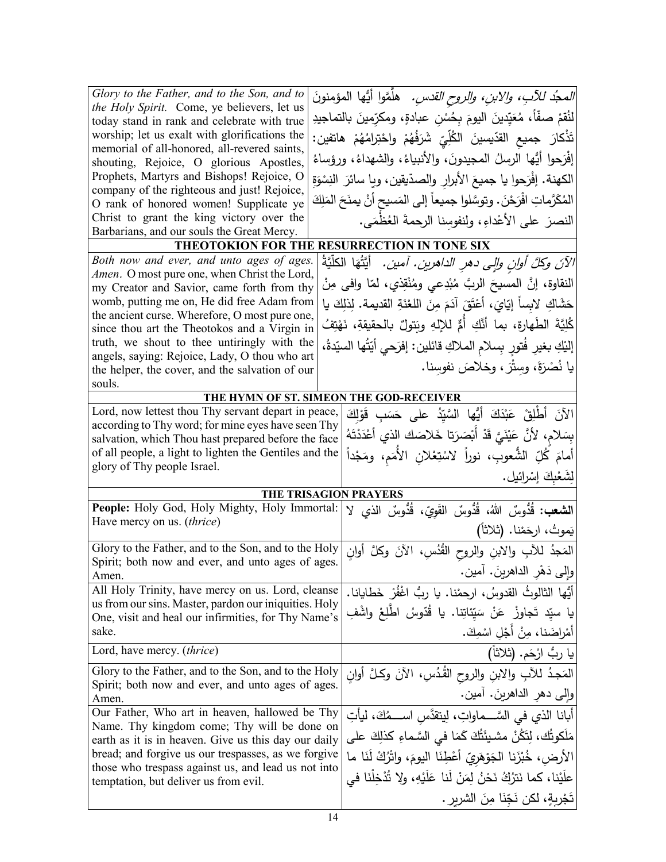| Glory to the Father, and to the Son, and to                                                                 | <i>المجدُ للآبِ، والابنِ، والروح القدسِ.</i> هلَّمَّوا أيُّها المؤمنونَ                                        |
|-------------------------------------------------------------------------------------------------------------|----------------------------------------------------------------------------------------------------------------|
| the Holy Spirit. Come, ye believers, let us<br>today stand in rank and celebrate with true                  | لنُقمْ صفّاً، مُعَيِّدينَ اليومَ بِحُسْنِ عبادةٍ، ومكرِّمينَ بالتماجيدِ                                        |
| worship; let us exalt with glorifications the                                                               |                                                                                                                |
| memorial of all-honored, all-revered saints,                                                                | تَذْكارَ  جميع  القدّيسينَ  الكُلِّيِّ  شَرَفُهُمْ  واحْتِرامُهُمْ  هاتفين:                                    |
| shouting, Rejoice, O glorious Apostles,                                                                     | إفْرَحوا أَيُّها الرسلُ المجيدونَ، والأنبياءُ، والشهداءُ، ورؤساءُ                                              |
| Prophets, Martyrs and Bishops! Rejoice, O                                                                   | الكهنة. إفْرَحوا يا جميعَ الأبرارِ والصدّيقين، ويا سائرَ النِسْوَةِ                                            |
| company of the righteous and just! Rejoice,                                                                 |                                                                                                                |
| O rank of honored women! Supplicate ye                                                                      | المُكَرَّماتِ افْرَحْنَ. وتوسَّلوا جميعاً إلى المَسيح أنْ يمنَحَ المَلِكَ                                      |
| Christ to grant the king victory over the                                                                   | النصرَ على الأعْداءِ، ولنفوسِنا الرحمةَ العُظمَى.                                                              |
| Barbarians, and our souls the Great Mercy.                                                                  |                                                                                                                |
|                                                                                                             | THEOTOKION FOR THE RESURRECTION IN TONE SIX                                                                    |
| Both now and ever, and unto ages of ages.                                                                   | الآنَ وكُلَّ أُوانِ وإلى دهرِ الداهرينِ. أمينِ. ۖ أَيَّتُهَا الْكَلَّيَّةَ                                     |
| Amen. O most pure one, when Christ the Lord,<br>my Creator and Savior, came forth from thy                  | النقاوة، إنَّ المسيحَ الربَّ مُبْدِعي ومُنْقِذي، لمّا وافى مِنْ                                                |
| womb, putting me on, He did free Adam from                                                                  |                                                                                                                |
| the ancient curse. Wherefore, O most pure one,                                                              | حَشَاكِ لابِساً إيّايَ، أَعْتَقَ آدَمَ مِنَ اللغْنَةِ القديمة. لِذلِكَ يا                                      |
| since thou art the Theotokos and a Virgin in                                                                | كُلِيَّةَ الطَهارة، بما أنَّكِ أُمٍّ للإِلهِ وبَتولٌ بالحقيقةِ، نَهْتِفُ                                       |
| truth, we shout to thee untiringly with the                                                                 | إليْكِ بغيرٍ فُتورٍ بِسلامِ الملاكِ قائلين: إفرَحي أيّتُها السيّدةُ،                                           |
| angels, saying: Rejoice, Lady, O thou who art                                                               |                                                                                                                |
| the helper, the cover, and the salvation of our                                                             | يا نُصْرَةَ، وَسِتْرَ ، وخلاصَ نفوسنا.                                                                         |
| souls.                                                                                                      |                                                                                                                |
|                                                                                                             | THE HYMN OF ST. SIMEON THE GOD-RECEIVER                                                                        |
| Lord, now lettest thou Thy servant depart in peace,                                                         | الآنَ أَطْلِقْ عَبْدَكَ أَيُّها السَّيِّدُ على حَسَبٍ قَوْلِكَ                                                 |
| according to Thy word; for mine eyes have seen Thy<br>salvation, which Thou hast prepared before the face   | بِسَلام، لأَنَّ عَيْنَيَّ قَدْ أَبْصَرَتا خَلاصَك الذي أَعْدَدْتَهُ                                            |
| of all people, a light to lighten the Gentiles and the                                                      |                                                                                                                |
|                                                                                                             |                                                                                                                |
|                                                                                                             | أمامَ كُلِّ الشُّعوبِ، نوراً لاسْتِعْلانِ الأُمَمِ، ومَجْداً                                                   |
| glory of Thy people Israel.                                                                                 | لِشَعْبِكَ إِسْرائيل.                                                                                          |
|                                                                                                             | THE TRISAGION PRAYERS                                                                                          |
| People: Holy God, Holy Mighty, Holy Immortal:                                                               |                                                                                                                |
| Have mercy on us. (thrice)                                                                                  | ا <b>لشعب:</b> قُدُوسٌ اللهُ، قُدُّوسٌ القَوِيِّ، قُدُّوسٌ الذي لا                                             |
|                                                                                                             | يَموتُ، ارحَمْنا. (ثلاثاً)                                                                                     |
| Glory to the Father, and to the Son, and to the Holy                                                        | المَجدُ للأَبِ والابنِ والروح القُدُسِ، الآنَ وكلَّ أوانِ                                                      |
| Spirit; both now and ever, and unto ages of ages.                                                           |                                                                                                                |
| Amen.<br>All Holy Trinity, have mercy on us. Lord, cleanse                                                  | وإلى دَهْرِ الداهرينَ. أمين.                                                                                   |
| us from our sins. Master, pardon our iniquities. Holy                                                       | أَيُّها الثالوثُ القدوسُ، ارحمْنا. يا ربُّ اغْفُرْ خَطايانا.                                                   |
| One, visit and heal our infirmities, for Thy Name's                                                         | يا سيِّد تَجاوزْ  عَنْ  سَيِّئاتِنا.  يا  قُدّوسُ  اطّْلِعْ  واشْفِ                                            |
| sake.                                                                                                       | أَمْراضَنا، مِنْ أَجْلِ اسْمِكَ.                                                                               |
| Lord, have mercy. <i>(thrice)</i>                                                                           | يا ربُ ارْحَم. (ثلاثاً)                                                                                        |
| Glory to the Father, and to the Son, and to the Holy                                                        |                                                                                                                |
| Spirit; both now and ever, and unto ages of ages.                                                           | الْمَجِدُ لْلِأَبِ وْالِابْنِ وْالروحِ الْقَدُسِ، الْأَنَ وَكُلَّ أُوانِ                                       |
| Amen.                                                                                                       | وإلى دهرِ الداهرينَ. أمين.                                                                                     |
| Our Father, Who art in heaven, hallowed be Thy                                                              | أبانا الذي في السَّـــماواتِ، لِيتقدَّسِ اســــمُكَ، ليأتِ                                                     |
| Name. Thy kingdom come; Thy will be done on                                                                 | مَلَكوتُك، لِتَكُنْ مشيئَتُكَ كَمَا في السَّماءِ كذلِكَ على                                                    |
| earth as it is in heaven. Give us this day our daily<br>bread; and forgive us our trespasses, as we forgive |                                                                                                                |
| those who trespass against us, and lead us not into                                                         | الأرض، خُبْزَنا الجَوْهَرِيّ أَعْطِنَا اليومَ، واتْرُكْ لَنَا ما                                               |
| temptation, but deliver us from evil.                                                                       | علَيْنا، كما نَترُكُ نَحْنُ لِمَنْ لَنا عَلَيْهِ، ولا تُذْخِلْنَا في<br>تَجْرِبةٍ، لكن نَجِّنَا مِنَ الشريرِ . |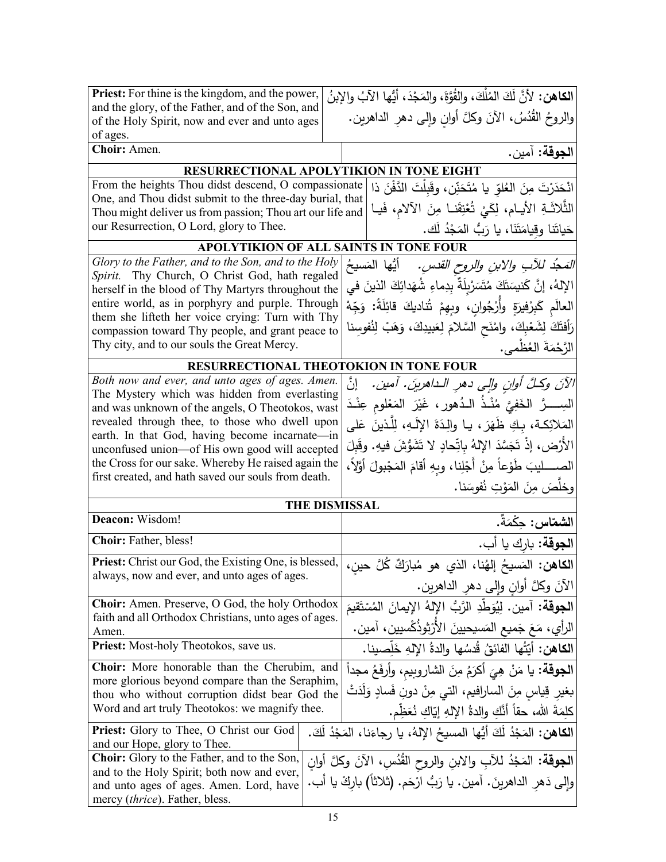| <b>Priest:</b> For thine is the kingdom, and the power,                                                                                                      | الكاهن: لأنَّ لَكَ المُلْكَ، والقُوَّةَ، والمَجْدَ، أيُّها الآبُ والإبنُ  |  |  |  |
|--------------------------------------------------------------------------------------------------------------------------------------------------------------|---------------------------------------------------------------------------|--|--|--|
| and the glory, of the Father, and of the Son, and<br>of the Holy Spirit, now and ever and unto ages                                                          | والروحُ القُدُسُ، الآنَ وكلَّ أوانِ وإلى دهرِ الداهرين.                   |  |  |  |
| of ages.                                                                                                                                                     |                                                                           |  |  |  |
| Choir: Amen.                                                                                                                                                 | ا <b>لجوقة:</b> آمين.                                                     |  |  |  |
|                                                                                                                                                              | RESURRECTIONAL APOLYTIKION IN TONE EIGHT                                  |  |  |  |
| From the heights Thou didst descend, O compassionate<br>انْحَدَرْتَ مِنَ العُلوّ يا مُتَحَنِّن، وقَبِلْتَ الدَّفْنَ ذا                                       |                                                                           |  |  |  |
| One, and Thou didst submit to the three-day burial, that<br>Thou might deliver us from passion; Thou art our life and                                        | الثَّلاثَةِ الأيام، لِكَيْ تُعْتِقَنا مِنَ الآلام، فَيا                   |  |  |  |
| our Resurrection, O Lord, glory to Thee.                                                                                                                     | حَياتَنا وقِيامَتَنَا، يا رَبُّ المَجْدُ لَك.                             |  |  |  |
| APOLYTIKION OF ALL SAINTS IN TONE FOUR                                                                                                                       |                                                                           |  |  |  |
| Glory to the Father, and to the Son, and to the Holy                                                                                                         | <i>المَحِدُ للآبِ والابنِ والروحِ القدسِ.</i> أيُّها المَسيحُ             |  |  |  |
| Spirit. Thy Church, O Christ God, hath regaled                                                                                                               | الإِلهُ، إِنَّ كَنيسَتَكَ مُتَسَرْبِلَةٌ بِدِماءِ شُهَدائِكَ الذينَ في    |  |  |  |
| herself in the blood of Thy Martyrs throughout the<br>entire world, as in porphyry and purple. Through                                                       |                                                                           |  |  |  |
| them she lifteth her voice crying: Turn with Thy                                                                                                             | الْعالَم كَبِرْفِيرَةٍ وأُرْجُوانِ، وبِهِمْ تُناديكَ قائِلَةً: وَجِّهْ    |  |  |  |
| compassion toward Thy people, and grant peace to                                                                                                             | رَأفتَكَ لِشَعْبِكَ، وامْنَح السَّلامَ لِعَبيدِكَ، وَهَبْ لِنُفوسِنا      |  |  |  |
| Thy city, and to our souls the Great Mercy.                                                                                                                  | الرَّحْمَةَ العُظْمي.                                                     |  |  |  |
| RESURRECTIONAL THEOTOKION IN TONE FOUR                                                                                                                       |                                                                           |  |  |  |
| Both now and ever, and unto ages of ages. Amen.<br>The Mystery which was hidden from everlasting                                                             | الآنَ وكلَّ أوانِ والِي دهرِ الـداهرينَ. آمين. [نَّ                       |  |  |  |
| and was unknown of the angels, O Theotokos, wast                                                                                                             | السِــــرَّ الخَفِيَّ مُنْــذُ الــدُهورِ ، غَيْرَ المَعْلومِ عِنْــدَ    |  |  |  |
| revealed through thee, to those who dwell upon                                                                                                               | المَلائِكة، بكِ ظَهَرَ ، يـا والِدَةَ الإِلَـهِ، لِلَّذينَ عَلـى          |  |  |  |
| earth. In that God, having become incarnate—in<br>unconfused union—of His own good will accepted                                                             | الأَرْض، إِذْ تَجَسَّدَ الإِلهُ بِاتِّحادٍ لا تَشَوُّشَ فيهِ. وقَبِلَ     |  |  |  |
| the Cross for our sake. Whereby He raised again the                                                                                                          | الصــــــليبَ طَوْعاً مِنْ أَجْلِنا، وبِهِ أقامَ المَجْبولَ أَوَّلاً،     |  |  |  |
| first created, and hath saved our souls from death.                                                                                                          | وخلَصَ مِنَ المَوْتِ نُفوسَنا.                                            |  |  |  |
|                                                                                                                                                              | <b>THE DISMISSAL</b>                                                      |  |  |  |
| Deacon: Wisdom!                                                                                                                                              | ا <b>لشماس:</b> حكْمَةٌ.                                                  |  |  |  |
| Choir: Father, bless!                                                                                                                                        | ا <b>لجوقة:</b> بارك يا أب.                                               |  |  |  |
| Priest: Christ our God, the Existing One, is blessed,                                                                                                        | ا <b>لكاهن:</b> المَسيحُ إلهُنا، الذي هو مُبارَكٌ كُلَّ حينِ،             |  |  |  |
| always, now and ever, and unto ages of ages.                                                                                                                 | الآنَ وكُلَّ أُوانِ وإِلَى دَهْرِ الداهرينِ.                              |  |  |  |
| <b>Choir:</b> Amen. Preserve, O God, the holy Orthodox                                                                                                       |                                                                           |  |  |  |
| faith and all Orthodox Christians, unto ages of ages.                                                                                                        | ا <b>لجوقة:</b> آمين. لِيُوَطِّدِ الرَّبُّ الإِلهُ الإِيمانَ المُسْتَقيمَ |  |  |  |
| Amen.                                                                                                                                                        | الرأي، مَعَ جَميع المَسيحيينَ الأَرْثوذُكْسيين، آمين.                     |  |  |  |
| Priest: Most-holy Theotokos, save us.                                                                                                                        | ا <b>لكاهن:</b> أَيّتُها الفائقُ قُدسُها والدةُ الإلهِ خَلِّصينا.         |  |  |  |
| Choir: More honorable than the Cherubim, and<br>more glorious beyond compare than the Seraphim,                                                              | ا <b>لجوقة:</b> يا مَنْ هِيَ أكرَمُ مِنَ الشاروبيم، وأرفَعُ مجداً         |  |  |  |
| thou who without corruption didst bear God the                                                                                                               | بغير قِياسٍ مِنَ الساراِفيمِ، التي مِنْ دونِ فَسادٍ وَلَدَتْ              |  |  |  |
| Word and art truly Theotokos: we magnify thee.                                                                                                               | كلِمَةَ الله، حقاً أنَّكِ والدةُ اﻹلهِ إيّاكِ نُعَظِّم.                   |  |  |  |
| ا <b>لكاهن:</b> المَجْدُ لَكَ أَيُّها المسيحُ الإِلهُ، يا رجاءَنا، المَجْدُ لَكَ.<br>Priest: Glory to Thee, O Christ our God<br>and our Hope, glory to Thee. |                                                                           |  |  |  |
| Choir: Glory to the Father, and to the Son,<br>ا <b>لجوقة:</b> المَجْدُ للأبِ والابنِ والروح القُدُسِ، الآنَ وكلَّ أوانِ                                     |                                                                           |  |  |  |
| and to the Holy Spirit; both now and ever,<br>وإلى دَهر الداهرينَ. آمين. يا رَبُّ ارْحَم. (ثلاثاً) باركْ يا أب.<br>and unto ages of ages. Amen. Lord, have   |                                                                           |  |  |  |
| mercy (thrice). Father, bless.                                                                                                                               |                                                                           |  |  |  |